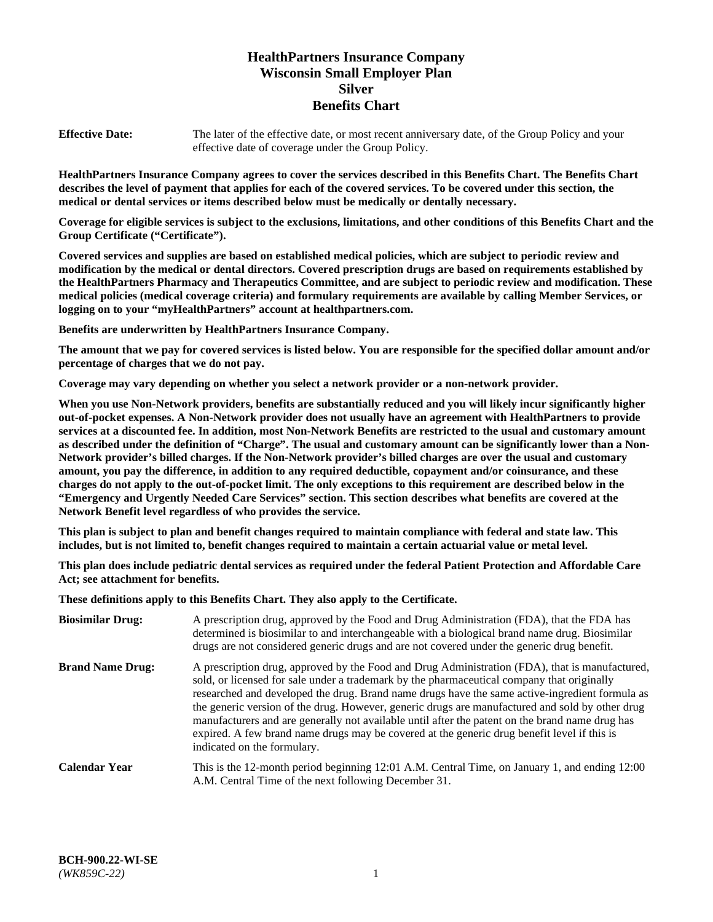# **HealthPartners Insurance Company Wisconsin Small Employer Plan Silver Benefits Chart**

**Effective Date:** The later of the effective date, or most recent anniversary date, of the Group Policy and your effective date of coverage under the Group Policy.

**HealthPartners Insurance Company agrees to cover the services described in this Benefits Chart. The Benefits Chart describes the level of payment that applies for each of the covered services. To be covered under this section, the medical or dental services or items described below must be medically or dentally necessary.**

**Coverage for eligible services is subject to the exclusions, limitations, and other conditions of this Benefits Chart and the Group Certificate ("Certificate").**

**Covered services and supplies are based on established medical policies, which are subject to periodic review and modification by the medical or dental directors. Covered prescription drugs are based on requirements established by the HealthPartners Pharmacy and Therapeutics Committee, and are subject to periodic review and modification. These medical policies (medical coverage criteria) and formulary requirements are available by calling Member Services, or logging on to your "myHealthPartners" account at [healthpartners.com.](https://www.healthpartners.com/hp/index.html)** 

**Benefits are underwritten by HealthPartners Insurance Company.**

**The amount that we pay for covered services is listed below. You are responsible for the specified dollar amount and/or percentage of charges that we do not pay.**

**Coverage may vary depending on whether you select a network provider or a non-network provider.**

**When you use Non-Network providers, benefits are substantially reduced and you will likely incur significantly higher out-of-pocket expenses. A Non-Network provider does not usually have an agreement with HealthPartners to provide services at a discounted fee. In addition, most Non-Network Benefits are restricted to the usual and customary amount as described under the definition of "Charge". The usual and customary amount can be significantly lower than a Non-Network provider's billed charges. If the Non-Network provider's billed charges are over the usual and customary amount, you pay the difference, in addition to any required deductible, copayment and/or coinsurance, and these charges do not apply to the out-of-pocket limit. The only exceptions to this requirement are described below in the "Emergency and Urgently Needed Care Services" section. This section describes what benefits are covered at the Network Benefit level regardless of who provides the service.**

**This plan is subject to plan and benefit changes required to maintain compliance with federal and state law. This includes, but is not limited to, benefit changes required to maintain a certain actuarial value or metal level.**

**This plan does include pediatric dental services as required under the federal Patient Protection and Affordable Care Act; see attachment for benefits.**

**These definitions apply to this Benefits Chart. They also apply to the Certificate.**

| <b>Biosimilar Drug:</b> | A prescription drug, approved by the Food and Drug Administration (FDA), that the FDA has<br>determined is biosimilar to and interchangeable with a biological brand name drug. Biosimilar<br>drugs are not considered generic drugs and are not covered under the generic drug benefit.                                                                                                                                                                                                                                                                                                                                           |
|-------------------------|------------------------------------------------------------------------------------------------------------------------------------------------------------------------------------------------------------------------------------------------------------------------------------------------------------------------------------------------------------------------------------------------------------------------------------------------------------------------------------------------------------------------------------------------------------------------------------------------------------------------------------|
| <b>Brand Name Drug:</b> | A prescription drug, approved by the Food and Drug Administration (FDA), that is manufactured,<br>sold, or licensed for sale under a trademark by the pharmaceutical company that originally<br>researched and developed the drug. Brand name drugs have the same active-ingredient formula as<br>the generic version of the drug. However, generic drugs are manufactured and sold by other drug<br>manufacturers and are generally not available until after the patent on the brand name drug has<br>expired. A few brand name drugs may be covered at the generic drug benefit level if this is<br>indicated on the formulary. |
| <b>Calendar Year</b>    | This is the 12-month period beginning 12:01 A.M. Central Time, on January 1, and ending 12:00<br>A.M. Central Time of the next following December 31.                                                                                                                                                                                                                                                                                                                                                                                                                                                                              |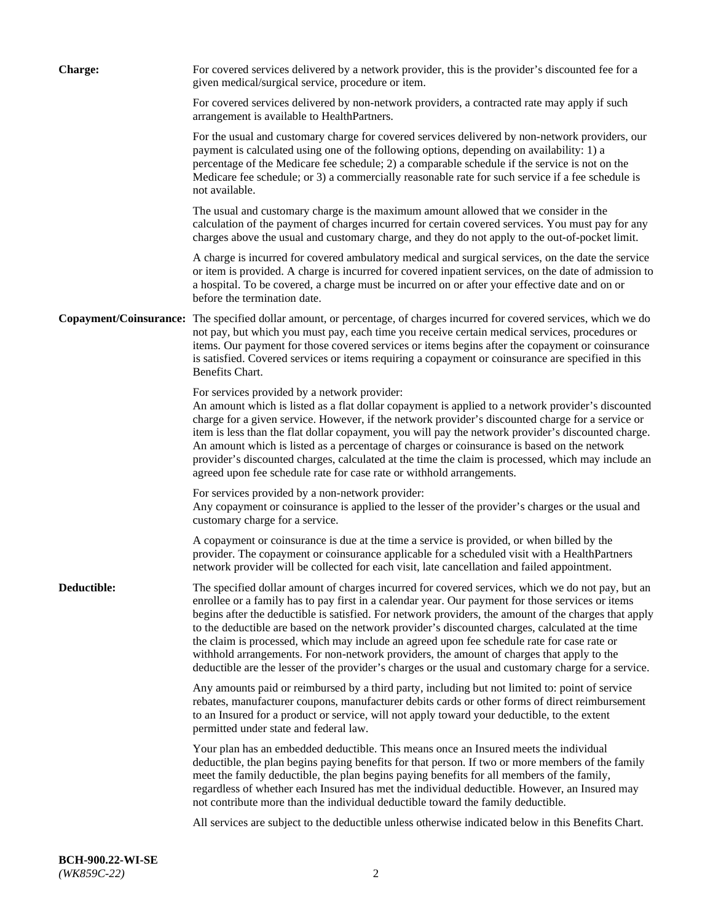| <b>Charge:</b> | For covered services delivered by a network provider, this is the provider's discounted fee for a<br>given medical/surgical service, procedure or item.                                                                                                                                                                                                                                                                                                                                                                                                                                                                                                                                                                 |
|----------------|-------------------------------------------------------------------------------------------------------------------------------------------------------------------------------------------------------------------------------------------------------------------------------------------------------------------------------------------------------------------------------------------------------------------------------------------------------------------------------------------------------------------------------------------------------------------------------------------------------------------------------------------------------------------------------------------------------------------------|
|                | For covered services delivered by non-network providers, a contracted rate may apply if such<br>arrangement is available to HealthPartners.                                                                                                                                                                                                                                                                                                                                                                                                                                                                                                                                                                             |
|                | For the usual and customary charge for covered services delivered by non-network providers, our<br>payment is calculated using one of the following options, depending on availability: 1) a<br>percentage of the Medicare fee schedule; 2) a comparable schedule if the service is not on the<br>Medicare fee schedule; or 3) a commercially reasonable rate for such service if a fee schedule is<br>not available.                                                                                                                                                                                                                                                                                                   |
|                | The usual and customary charge is the maximum amount allowed that we consider in the<br>calculation of the payment of charges incurred for certain covered services. You must pay for any<br>charges above the usual and customary charge, and they do not apply to the out-of-pocket limit.                                                                                                                                                                                                                                                                                                                                                                                                                            |
|                | A charge is incurred for covered ambulatory medical and surgical services, on the date the service<br>or item is provided. A charge is incurred for covered inpatient services, on the date of admission to<br>a hospital. To be covered, a charge must be incurred on or after your effective date and on or<br>before the termination date.                                                                                                                                                                                                                                                                                                                                                                           |
|                | Copayment/Coinsurance: The specified dollar amount, or percentage, of charges incurred for covered services, which we do<br>not pay, but which you must pay, each time you receive certain medical services, procedures or<br>items. Our payment for those covered services or items begins after the copayment or coinsurance<br>is satisfied. Covered services or items requiring a copayment or coinsurance are specified in this<br>Benefits Chart.                                                                                                                                                                                                                                                                 |
|                | For services provided by a network provider:<br>An amount which is listed as a flat dollar copayment is applied to a network provider's discounted<br>charge for a given service. However, if the network provider's discounted charge for a service or<br>item is less than the flat dollar copayment, you will pay the network provider's discounted charge.<br>An amount which is listed as a percentage of charges or coinsurance is based on the network<br>provider's discounted charges, calculated at the time the claim is processed, which may include an<br>agreed upon fee schedule rate for case rate or withhold arrangements.                                                                            |
|                | For services provided by a non-network provider:<br>Any copayment or coinsurance is applied to the lesser of the provider's charges or the usual and<br>customary charge for a service.                                                                                                                                                                                                                                                                                                                                                                                                                                                                                                                                 |
|                | A copayment or coinsurance is due at the time a service is provided, or when billed by the<br>provider. The copayment or coinsurance applicable for a scheduled visit with a HealthPartners<br>network provider will be collected for each visit, late cancellation and failed appointment.                                                                                                                                                                                                                                                                                                                                                                                                                             |
| Deductible:    | The specified dollar amount of charges incurred for covered services, which we do not pay, but an<br>enrollee or a family has to pay first in a calendar year. Our payment for those services or items<br>begins after the deductible is satisfied. For network providers, the amount of the charges that apply<br>to the deductible are based on the network provider's discounted charges, calculated at the time<br>the claim is processed, which may include an agreed upon fee schedule rate for case rate or<br>withhold arrangements. For non-network providers, the amount of charges that apply to the<br>deductible are the lesser of the provider's charges or the usual and customary charge for a service. |
|                | Any amounts paid or reimbursed by a third party, including but not limited to: point of service<br>rebates, manufacturer coupons, manufacturer debits cards or other forms of direct reimbursement<br>to an Insured for a product or service, will not apply toward your deductible, to the extent<br>permitted under state and federal law.                                                                                                                                                                                                                                                                                                                                                                            |
|                | Your plan has an embedded deductible. This means once an Insured meets the individual<br>deductible, the plan begins paying benefits for that person. If two or more members of the family<br>meet the family deductible, the plan begins paying benefits for all members of the family,<br>regardless of whether each Insured has met the individual deductible. However, an Insured may<br>not contribute more than the individual deductible toward the family deductible.                                                                                                                                                                                                                                           |
|                | All services are subject to the deductible unless otherwise indicated below in this Benefits Chart.                                                                                                                                                                                                                                                                                                                                                                                                                                                                                                                                                                                                                     |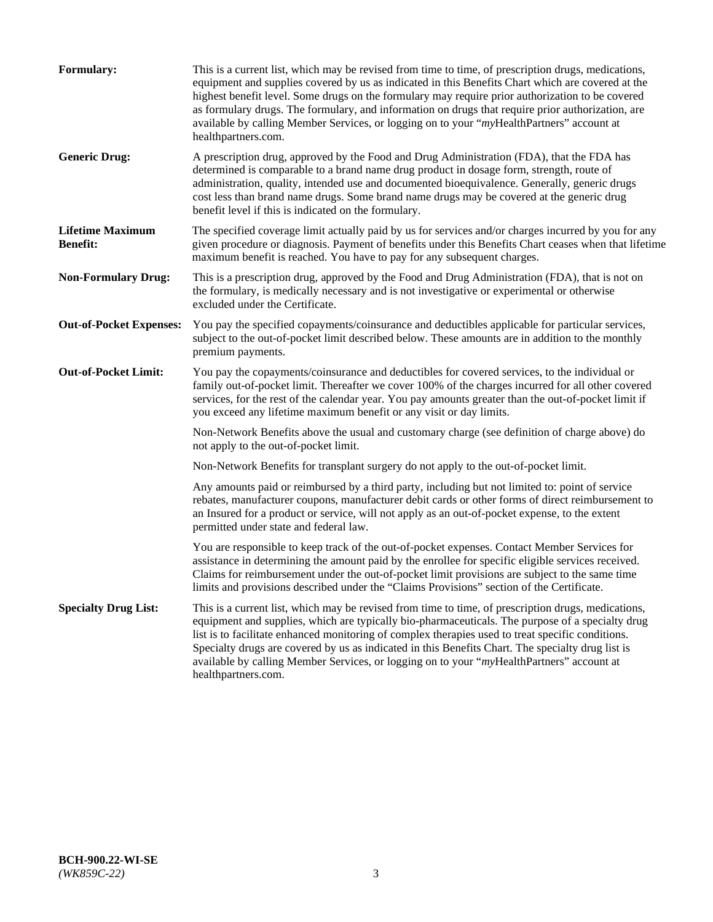| <b>Formulary:</b>                          | This is a current list, which may be revised from time to time, of prescription drugs, medications,<br>equipment and supplies covered by us as indicated in this Benefits Chart which are covered at the<br>highest benefit level. Some drugs on the formulary may require prior authorization to be covered<br>as formulary drugs. The formulary, and information on drugs that require prior authorization, are<br>available by calling Member Services, or logging on to your "myHealthPartners" account at<br>healthpartners.com. |
|--------------------------------------------|---------------------------------------------------------------------------------------------------------------------------------------------------------------------------------------------------------------------------------------------------------------------------------------------------------------------------------------------------------------------------------------------------------------------------------------------------------------------------------------------------------------------------------------|
| <b>Generic Drug:</b>                       | A prescription drug, approved by the Food and Drug Administration (FDA), that the FDA has<br>determined is comparable to a brand name drug product in dosage form, strength, route of<br>administration, quality, intended use and documented bioequivalence. Generally, generic drugs<br>cost less than brand name drugs. Some brand name drugs may be covered at the generic drug<br>benefit level if this is indicated on the formulary.                                                                                           |
| <b>Lifetime Maximum</b><br><b>Benefit:</b> | The specified coverage limit actually paid by us for services and/or charges incurred by you for any<br>given procedure or diagnosis. Payment of benefits under this Benefits Chart ceases when that lifetime<br>maximum benefit is reached. You have to pay for any subsequent charges.                                                                                                                                                                                                                                              |
| <b>Non-Formulary Drug:</b>                 | This is a prescription drug, approved by the Food and Drug Administration (FDA), that is not on<br>the formulary, is medically necessary and is not investigative or experimental or otherwise<br>excluded under the Certificate.                                                                                                                                                                                                                                                                                                     |
| <b>Out-of-Pocket Expenses:</b>             | You pay the specified copayments/coinsurance and deductibles applicable for particular services,<br>subject to the out-of-pocket limit described below. These amounts are in addition to the monthly<br>premium payments.                                                                                                                                                                                                                                                                                                             |
| <b>Out-of-Pocket Limit:</b>                | You pay the copayments/coinsurance and deductibles for covered services, to the individual or<br>family out-of-pocket limit. Thereafter we cover 100% of the charges incurred for all other covered<br>services, for the rest of the calendar year. You pay amounts greater than the out-of-pocket limit if<br>you exceed any lifetime maximum benefit or any visit or day limits.                                                                                                                                                    |
|                                            | Non-Network Benefits above the usual and customary charge (see definition of charge above) do<br>not apply to the out-of-pocket limit.                                                                                                                                                                                                                                                                                                                                                                                                |
|                                            | Non-Network Benefits for transplant surgery do not apply to the out-of-pocket limit.                                                                                                                                                                                                                                                                                                                                                                                                                                                  |
|                                            | Any amounts paid or reimbursed by a third party, including but not limited to: point of service<br>rebates, manufacturer coupons, manufacturer debit cards or other forms of direct reimbursement to<br>an Insured for a product or service, will not apply as an out-of-pocket expense, to the extent<br>permitted under state and federal law.                                                                                                                                                                                      |
|                                            | You are responsible to keep track of the out-of-pocket expenses. Contact Member Services for<br>assistance in determining the amount paid by the enrollee for specific eligible services received.<br>Claims for reimbursement under the out-of-pocket limit provisions are subject to the same time<br>limits and provisions described under the "Claims Provisions" section of the Certificate.                                                                                                                                     |
| <b>Specialty Drug List:</b>                | This is a current list, which may be revised from time to time, of prescription drugs, medications,<br>equipment and supplies, which are typically bio-pharmaceuticals. The purpose of a specialty drug<br>list is to facilitate enhanced monitoring of complex therapies used to treat specific conditions.<br>Specialty drugs are covered by us as indicated in this Benefits Chart. The specialty drug list is<br>available by calling Member Services, or logging on to your "myHealthPartners" account at<br>healthpartners.com. |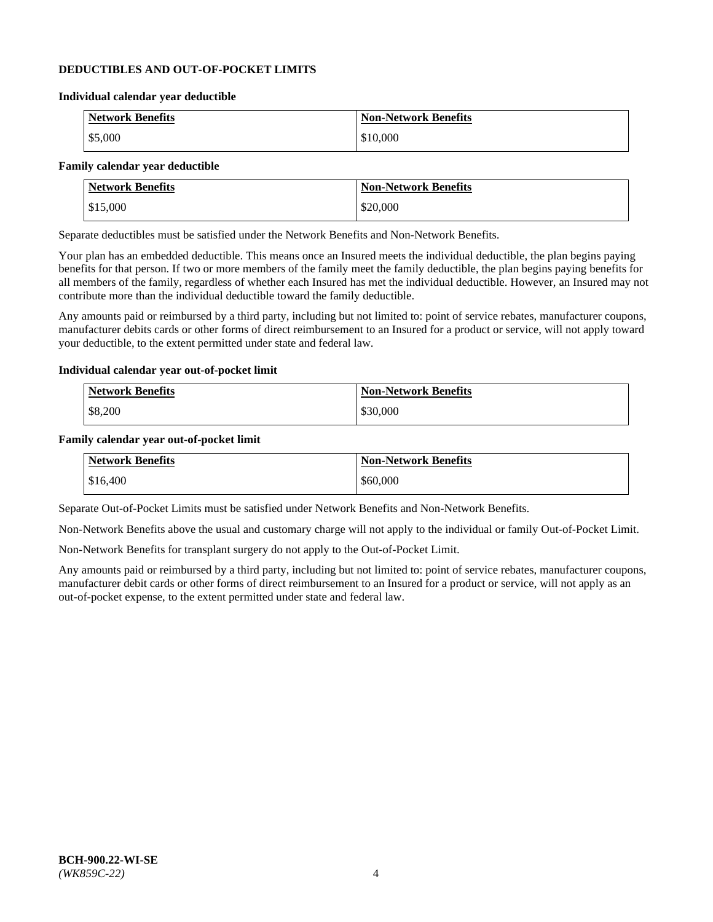#### **DEDUCTIBLES AND OUT-OF-POCKET LIMITS**

#### **Individual calendar year deductible**

| <b>Network Benefits</b> | <b>Non-Network Benefits</b> |
|-------------------------|-----------------------------|
| \$5,000                 | \$10,000                    |

#### **Family calendar year deductible**

| <b>Network Benefits</b> | <b>Non-Network Benefits</b> |
|-------------------------|-----------------------------|
| \$15,000                | \$20,000                    |

Separate deductibles must be satisfied under the Network Benefits and Non-Network Benefits.

Your plan has an embedded deductible. This means once an Insured meets the individual deductible, the plan begins paying benefits for that person. If two or more members of the family meet the family deductible, the plan begins paying benefits for all members of the family, regardless of whether each Insured has met the individual deductible. However, an Insured may not contribute more than the individual deductible toward the family deductible.

Any amounts paid or reimbursed by a third party, including but not limited to: point of service rebates, manufacturer coupons, manufacturer debits cards or other forms of direct reimbursement to an Insured for a product or service, will not apply toward your deductible, to the extent permitted under state and federal law.

#### **Individual calendar year out-of-pocket limit**

| Network Benefits | <b>Non-Network Benefits</b> |
|------------------|-----------------------------|
| \$8,200          | \$30,000                    |

#### **Family calendar year out-of-pocket limit**

| <b>Network Benefits</b> | <b>Non-Network Benefits</b> |
|-------------------------|-----------------------------|
| \$16,400                | \$60,000                    |

Separate Out-of-Pocket Limits must be satisfied under Network Benefits and Non-Network Benefits.

Non-Network Benefits above the usual and customary charge will not apply to the individual or family Out-of-Pocket Limit.

Non-Network Benefits for transplant surgery do not apply to the Out-of-Pocket Limit.

Any amounts paid or reimbursed by a third party, including but not limited to: point of service rebates, manufacturer coupons, manufacturer debit cards or other forms of direct reimbursement to an Insured for a product or service, will not apply as an out-of-pocket expense, to the extent permitted under state and federal law.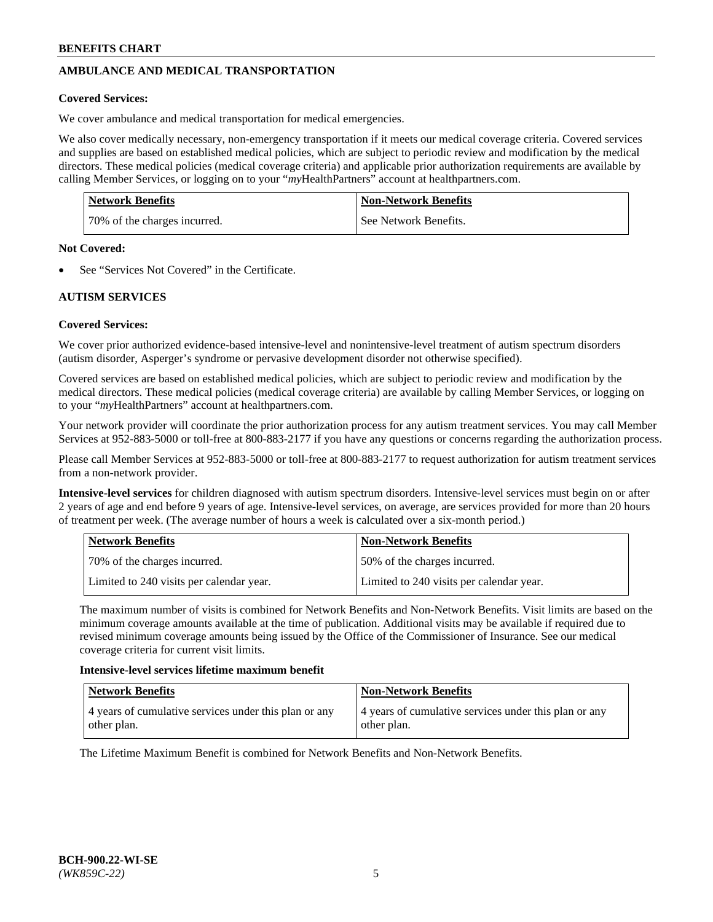# **AMBULANCE AND MEDICAL TRANSPORTATION**

#### **Covered Services:**

We cover ambulance and medical transportation for medical emergencies.

We also cover medically necessary, non-emergency transportation if it meets our medical coverage criteria. Covered services and supplies are based on established medical policies, which are subject to periodic review and modification by the medical directors. These medical policies (medical coverage criteria) and applicable prior authorization requirements are available by calling Member Services, or logging on to your "*my*HealthPartners" account a[t healthpartners.com.](https://www.healthpartners.com/hp/index.html)

| <b>Network Benefits</b>      | <b>Non-Network Benefits</b> |
|------------------------------|-----------------------------|
| 70% of the charges incurred. | See Network Benefits.       |

#### **Not Covered:**

See "Services Not Covered" in the Certificate.

## **AUTISM SERVICES**

## **Covered Services:**

We cover prior authorized evidence-based intensive-level and nonintensive-level treatment of autism spectrum disorders (autism disorder, Asperger's syndrome or pervasive development disorder not otherwise specified).

Covered services are based on established medical policies, which are subject to periodic review and modification by the medical directors. These medical policies (medical coverage criteria) are available by calling Member Services, or logging on to your "*my*HealthPartners" account at [healthpartners.com.](https://www.healthpartners.com/hp/index.html)

Your network provider will coordinate the prior authorization process for any autism treatment services. You may call Member Services at 952-883-5000 or toll-free at 800-883-2177 if you have any questions or concerns regarding the authorization process.

Please call Member Services at 952-883-5000 or toll-free at 800-883-2177 to request authorization for autism treatment services from a non-network provider.

**Intensive-level services** for children diagnosed with autism spectrum disorders. Intensive-level services must begin on or after 2 years of age and end before 9 years of age. Intensive-level services, on average, are services provided for more than 20 hours of treatment per week. (The average number of hours a week is calculated over a six-month period.)

| Network Benefits                         | <b>Non-Network Benefits</b>              |
|------------------------------------------|------------------------------------------|
| 70% of the charges incurred.             | 50% of the charges incurred.             |
| Limited to 240 visits per calendar year. | Limited to 240 visits per calendar year. |

The maximum number of visits is combined for Network Benefits and Non-Network Benefits. Visit limits are based on the minimum coverage amounts available at the time of publication. Additional visits may be available if required due to revised minimum coverage amounts being issued by the Office of the Commissioner of Insurance. See our medical coverage criteria for current visit limits.

#### **Intensive-level services lifetime maximum benefit**

| Network Benefits                                                     | <b>Non-Network Benefits</b>                                          |
|----------------------------------------------------------------------|----------------------------------------------------------------------|
| 4 years of cumulative services under this plan or any<br>other plan. | 4 years of cumulative services under this plan or any<br>other plan. |

The Lifetime Maximum Benefit is combined for Network Benefits and Non-Network Benefits.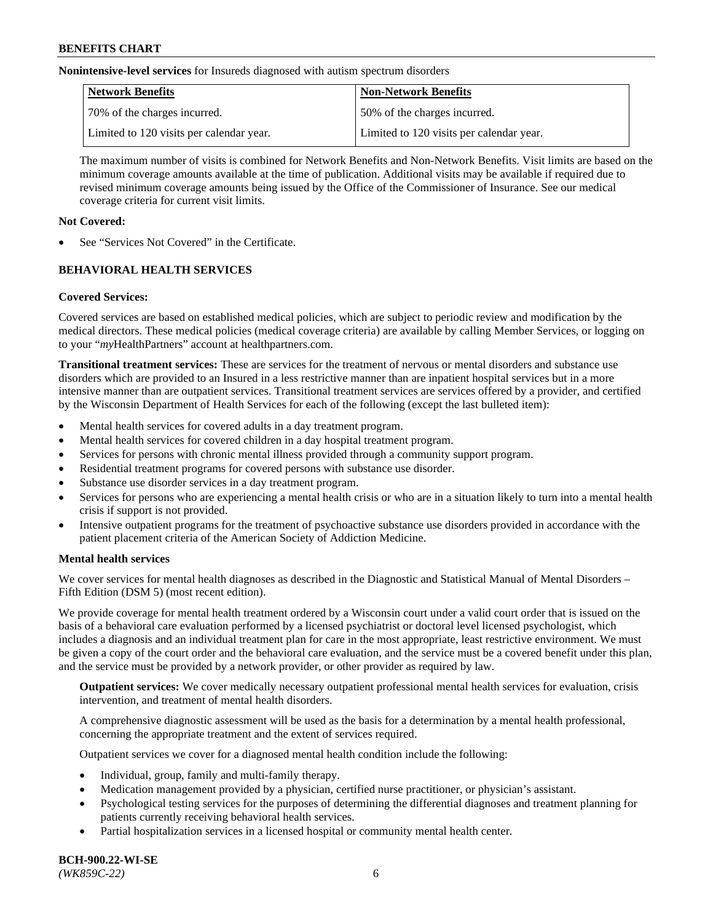**Nonintensive-level services** for Insureds diagnosed with autism spectrum disorders

| Network Benefits                         | <b>Non-Network Benefits</b>              |
|------------------------------------------|------------------------------------------|
| 70% of the charges incurred.             | 50% of the charges incurred.             |
| Limited to 120 visits per calendar year. | Limited to 120 visits per calendar year. |

The maximum number of visits is combined for Network Benefits and Non-Network Benefits. Visit limits are based on the minimum coverage amounts available at the time of publication. Additional visits may be available if required due to revised minimum coverage amounts being issued by the Office of the Commissioner of Insurance. See our medical coverage criteria for current visit limits.

## **Not Covered:**

See "Services Not Covered" in the Certificate.

## **BEHAVIORAL HEALTH SERVICES**

## **Covered Services:**

Covered services are based on established medical policies, which are subject to periodic review and modification by the medical directors. These medical policies (medical coverage criteria) are available by calling Member Services, or logging on to your "*my*HealthPartners" account at [healthpartners.com.](https://www.healthpartners.com/hp/index.html)

**Transitional treatment services:** These are services for the treatment of nervous or mental disorders and substance use disorders which are provided to an Insured in a less restrictive manner than are inpatient hospital services but in a more intensive manner than are outpatient services. Transitional treatment services are services offered by a provider, and certified by the Wisconsin Department of Health Services for each of the following (except the last bulleted item):

- Mental health services for covered adults in a day treatment program.
- Mental health services for covered children in a day hospital treatment program.
- Services for persons with chronic mental illness provided through a community support program.
- Residential treatment programs for covered persons with substance use disorder.
- Substance use disorder services in a day treatment program.
- Services for persons who are experiencing a mental health crisis or who are in a situation likely to turn into a mental health crisis if support is not provided.
- Intensive outpatient programs for the treatment of psychoactive substance use disorders provided in accordance with the patient placement criteria of the American Society of Addiction Medicine.

## **Mental health services**

We cover services for mental health diagnoses as described in the Diagnostic and Statistical Manual of Mental Disorders – Fifth Edition (DSM 5) (most recent edition).

We provide coverage for mental health treatment ordered by a Wisconsin court under a valid court order that is issued on the basis of a behavioral care evaluation performed by a licensed psychiatrist or doctoral level licensed psychologist, which includes a diagnosis and an individual treatment plan for care in the most appropriate, least restrictive environment. We must be given a copy of the court order and the behavioral care evaluation, and the service must be a covered benefit under this plan, and the service must be provided by a network provider, or other provider as required by law.

**Outpatient services:** We cover medically necessary outpatient professional mental health services for evaluation, crisis intervention, and treatment of mental health disorders.

A comprehensive diagnostic assessment will be used as the basis for a determination by a mental health professional, concerning the appropriate treatment and the extent of services required.

Outpatient services we cover for a diagnosed mental health condition include the following:

- Individual, group, family and multi-family therapy.
- Medication management provided by a physician, certified nurse practitioner, or physician's assistant.
- Psychological testing services for the purposes of determining the differential diagnoses and treatment planning for patients currently receiving behavioral health services.
- Partial hospitalization services in a licensed hospital or community mental health center.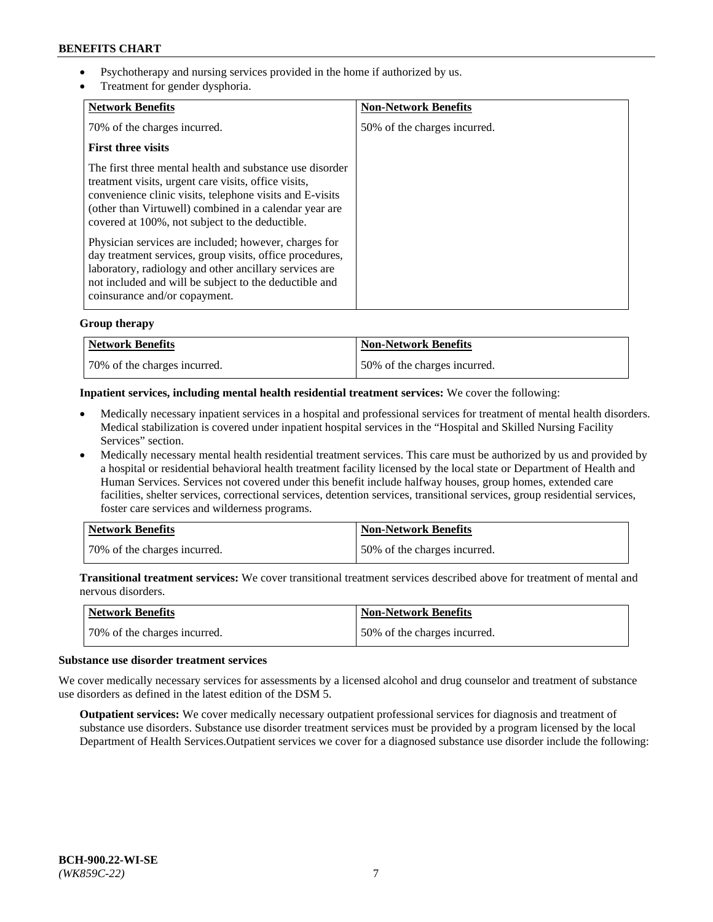- Psychotherapy and nursing services provided in the home if authorized by us.
- Treatment for gender dysphoria.

| <b>Network Benefits</b>                                                                                                                                                                                                                                                                   | <b>Non-Network Benefits</b>  |
|-------------------------------------------------------------------------------------------------------------------------------------------------------------------------------------------------------------------------------------------------------------------------------------------|------------------------------|
| 70% of the charges incurred.                                                                                                                                                                                                                                                              | 50% of the charges incurred. |
| <b>First three visits</b>                                                                                                                                                                                                                                                                 |                              |
| The first three mental health and substance use disorder<br>treatment visits, urgent care visits, office visits,<br>convenience clinic visits, telephone visits and E-visits<br>(other than Virtuwell) combined in a calendar year are<br>covered at 100%, not subject to the deductible. |                              |
| Physician services are included; however, charges for<br>day treatment services, group visits, office procedures,<br>laboratory, radiology and other ancillary services are<br>not included and will be subject to the deductible and<br>coinsurance and/or copayment.                    |                              |

## **Group therapy**

| Network Benefits             | <b>Non-Network Benefits</b>  |
|------------------------------|------------------------------|
| 70% of the charges incurred. | 50% of the charges incurred. |

#### **Inpatient services, including mental health residential treatment services:** We cover the following:

- Medically necessary inpatient services in a hospital and professional services for treatment of mental health disorders. Medical stabilization is covered under inpatient hospital services in the "Hospital and Skilled Nursing Facility Services" section.
- Medically necessary mental health residential treatment services. This care must be authorized by us and provided by a hospital or residential behavioral health treatment facility licensed by the local state or Department of Health and Human Services. Services not covered under this benefit include halfway houses, group homes, extended care facilities, shelter services, correctional services, detention services, transitional services, group residential services, foster care services and wilderness programs.

| Network Benefits             | <b>Non-Network Benefits</b>  |
|------------------------------|------------------------------|
| 70% of the charges incurred. | 50% of the charges incurred. |

**Transitional treatment services:** We cover transitional treatment services described above for treatment of mental and nervous disorders.

| Network Benefits             | <b>Non-Network Benefits</b>  |
|------------------------------|------------------------------|
| 70% of the charges incurred. | 50% of the charges incurred. |

#### **Substance use disorder treatment services**

We cover medically necessary services for assessments by a licensed alcohol and drug counselor and treatment of substance use disorders as defined in the latest edition of the DSM 5.

**Outpatient services:** We cover medically necessary outpatient professional services for diagnosis and treatment of substance use disorders. Substance use disorder treatment services must be provided by a program licensed by the local Department of Health Services.Outpatient services we cover for a diagnosed substance use disorder include the following: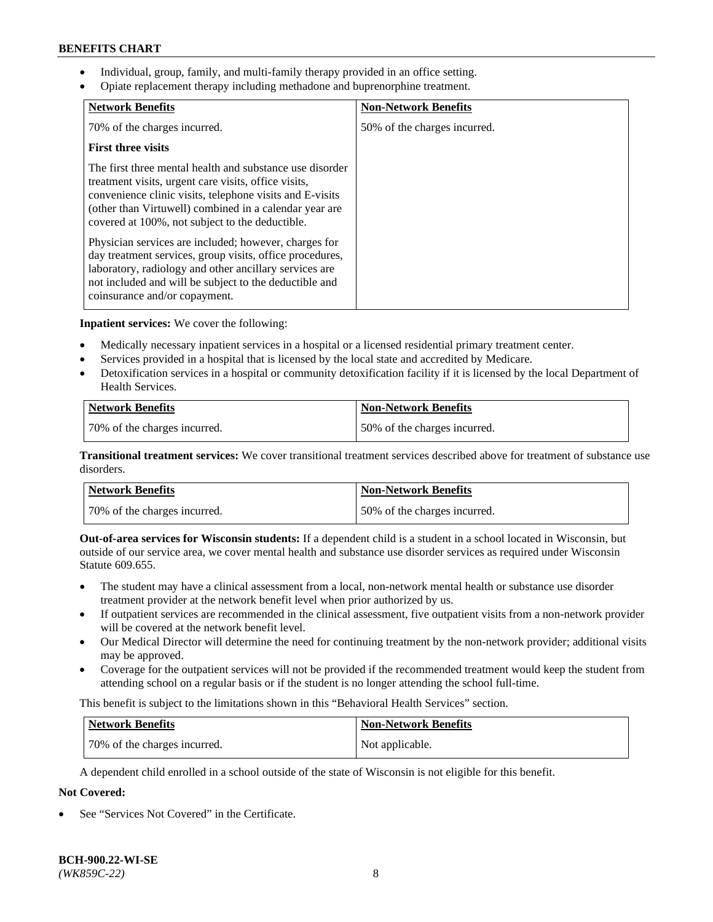- Individual, group, family, and multi-family therapy provided in an office setting.
- Opiate replacement therapy including methadone and buprenorphine treatment.

| <b>Network Benefits</b>                                                                                                                                                                                                                                                                   | <b>Non-Network Benefits</b>  |
|-------------------------------------------------------------------------------------------------------------------------------------------------------------------------------------------------------------------------------------------------------------------------------------------|------------------------------|
| 70% of the charges incurred.                                                                                                                                                                                                                                                              | 50% of the charges incurred. |
| <b>First three visits</b>                                                                                                                                                                                                                                                                 |                              |
| The first three mental health and substance use disorder<br>treatment visits, urgent care visits, office visits,<br>convenience clinic visits, telephone visits and E-visits<br>(other than Virtuwell) combined in a calendar year are<br>covered at 100%, not subject to the deductible. |                              |
| Physician services are included; however, charges for<br>day treatment services, group visits, office procedures,<br>laboratory, radiology and other ancillary services are<br>not included and will be subject to the deductible and<br>coinsurance and/or copayment.                    |                              |

**Inpatient services:** We cover the following:

- Medically necessary inpatient services in a hospital or a licensed residential primary treatment center.
- Services provided in a hospital that is licensed by the local state and accredited by Medicare.
- Detoxification services in a hospital or community detoxification facility if it is licensed by the local Department of Health Services.

| <b>Network Benefits</b>      | <b>Non-Network Benefits</b>  |
|------------------------------|------------------------------|
| 70% of the charges incurred. | 50% of the charges incurred. |

**Transitional treatment services:** We cover transitional treatment services described above for treatment of substance use disorders.

| Network Benefits             | <b>Non-Network Benefits</b>  |
|------------------------------|------------------------------|
| 70% of the charges incurred. | 50% of the charges incurred. |

**Out-of-area services for Wisconsin students:** If a dependent child is a student in a school located in Wisconsin, but outside of our service area, we cover mental health and substance use disorder services as required under Wisconsin Statute 609.655.

- The student may have a clinical assessment from a local, non-network mental health or substance use disorder treatment provider at the network benefit level when prior authorized by us.
- If outpatient services are recommended in the clinical assessment, five outpatient visits from a non-network provider will be covered at the network benefit level.
- Our Medical Director will determine the need for continuing treatment by the non-network provider; additional visits may be approved.
- Coverage for the outpatient services will not be provided if the recommended treatment would keep the student from attending school on a regular basis or if the student is no longer attending the school full-time.

This benefit is subject to the limitations shown in this "Behavioral Health Services" section.

| Network Benefits             | <b>Non-Network Benefits</b> |
|------------------------------|-----------------------------|
| 70% of the charges incurred. | Not applicable.             |

A dependent child enrolled in a school outside of the state of Wisconsin is not eligible for this benefit.

## **Not Covered:**

See "Services Not Covered" in the Certificate.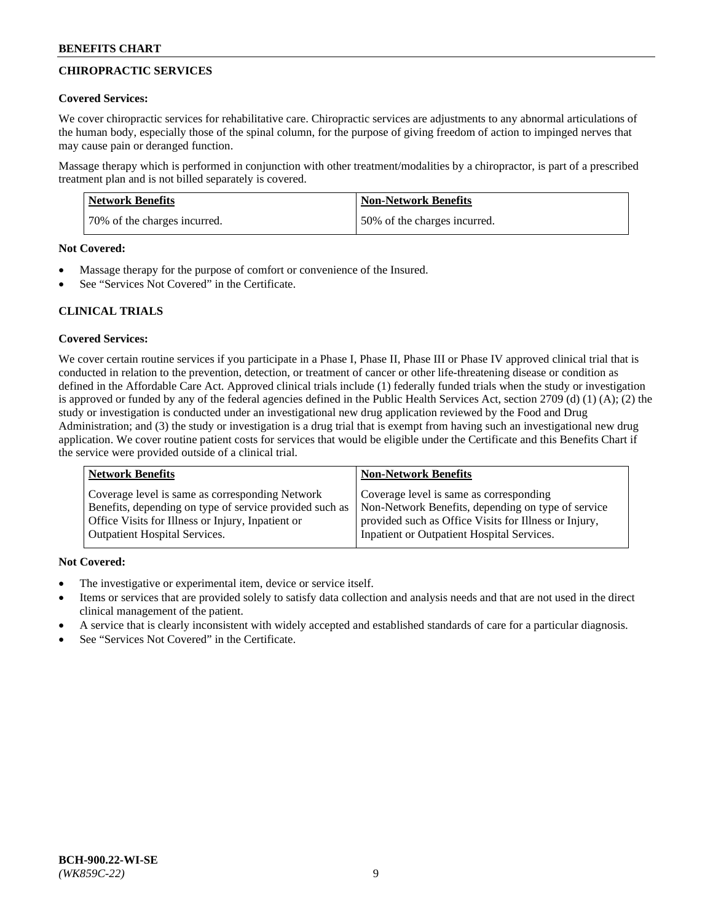## **CHIROPRACTIC SERVICES**

#### **Covered Services:**

We cover chiropractic services for rehabilitative care. Chiropractic services are adjustments to any abnormal articulations of the human body, especially those of the spinal column, for the purpose of giving freedom of action to impinged nerves that may cause pain or deranged function.

Massage therapy which is performed in conjunction with other treatment/modalities by a chiropractor, is part of a prescribed treatment plan and is not billed separately is covered.

| <b>Network Benefits</b>      | <b>Non-Network Benefits</b>  |
|------------------------------|------------------------------|
| 70% of the charges incurred. | 50% of the charges incurred. |

#### **Not Covered:**

- Massage therapy for the purpose of comfort or convenience of the Insured.
- See "Services Not Covered" in the Certificate.

## **CLINICAL TRIALS**

## **Covered Services:**

We cover certain routine services if you participate in a Phase I, Phase II, Phase III or Phase IV approved clinical trial that is conducted in relation to the prevention, detection, or treatment of cancer or other life-threatening disease or condition as defined in the Affordable Care Act. Approved clinical trials include (1) federally funded trials when the study or investigation is approved or funded by any of the federal agencies defined in the Public Health Services Act, section 2709 (d) (1) (A); (2) the study or investigation is conducted under an investigational new drug application reviewed by the Food and Drug Administration; and (3) the study or investigation is a drug trial that is exempt from having such an investigational new drug application. We cover routine patient costs for services that would be eligible under the Certificate and this Benefits Chart if the service were provided outside of a clinical trial.

| <b>Network Benefits</b>                                 | <b>Non-Network Benefits</b>                           |
|---------------------------------------------------------|-------------------------------------------------------|
| Coverage level is same as corresponding Network         | Coverage level is same as corresponding               |
| Benefits, depending on type of service provided such as | Non-Network Benefits, depending on type of service    |
| Office Visits for Illness or Injury, Inpatient or       | provided such as Office Visits for Illness or Injury, |
| <b>Outpatient Hospital Services.</b>                    | Inpatient or Outpatient Hospital Services.            |

## **Not Covered:**

- The investigative or experimental item, device or service itself.
- Items or services that are provided solely to satisfy data collection and analysis needs and that are not used in the direct clinical management of the patient.
- A service that is clearly inconsistent with widely accepted and established standards of care for a particular diagnosis.
- See "Services Not Covered" in the Certificate.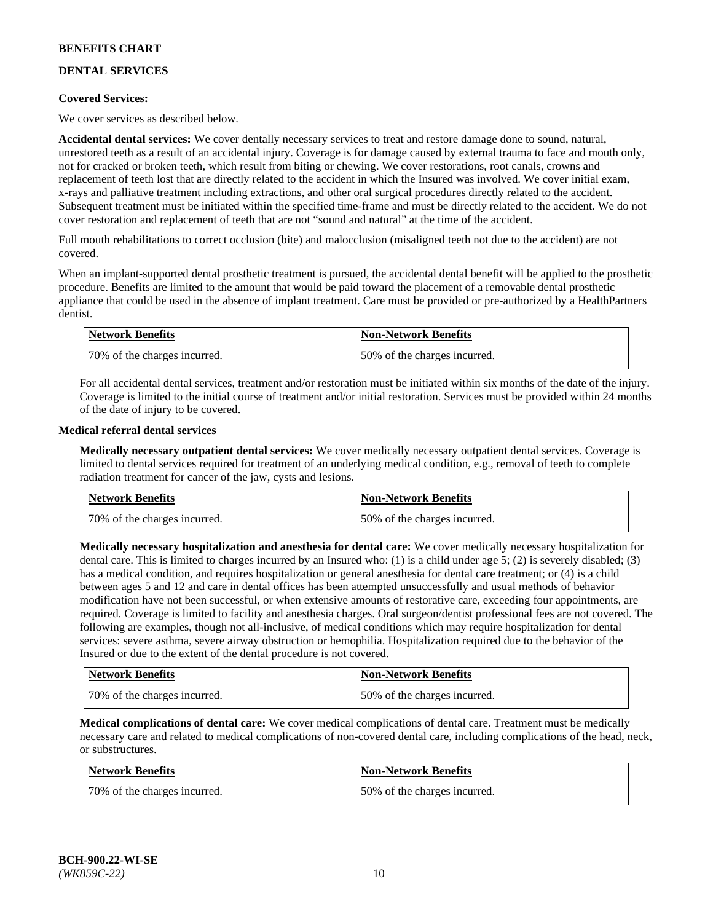# **DENTAL SERVICES**

## **Covered Services:**

We cover services as described below.

**Accidental dental services:** We cover dentally necessary services to treat and restore damage done to sound, natural, unrestored teeth as a result of an accidental injury. Coverage is for damage caused by external trauma to face and mouth only, not for cracked or broken teeth, which result from biting or chewing. We cover restorations, root canals, crowns and replacement of teeth lost that are directly related to the accident in which the Insured was involved. We cover initial exam, x-rays and palliative treatment including extractions, and other oral surgical procedures directly related to the accident. Subsequent treatment must be initiated within the specified time-frame and must be directly related to the accident. We do not cover restoration and replacement of teeth that are not "sound and natural" at the time of the accident.

Full mouth rehabilitations to correct occlusion (bite) and malocclusion (misaligned teeth not due to the accident) are not covered.

When an implant-supported dental prosthetic treatment is pursued, the accidental dental benefit will be applied to the prosthetic procedure. Benefits are limited to the amount that would be paid toward the placement of a removable dental prosthetic appliance that could be used in the absence of implant treatment. Care must be provided or pre-authorized by a HealthPartners dentist.

| Network Benefits              | <b>Non-Network Benefits</b>  |
|-------------------------------|------------------------------|
| 170% of the charges incurred. | 50% of the charges incurred. |

For all accidental dental services, treatment and/or restoration must be initiated within six months of the date of the injury. Coverage is limited to the initial course of treatment and/or initial restoration. Services must be provided within 24 months of the date of injury to be covered.

#### **Medical referral dental services**

**Medically necessary outpatient dental services:** We cover medically necessary outpatient dental services. Coverage is limited to dental services required for treatment of an underlying medical condition, e.g., removal of teeth to complete radiation treatment for cancer of the jaw, cysts and lesions.

| Network Benefits             | <b>Non-Network Benefits</b>  |
|------------------------------|------------------------------|
| 70% of the charges incurred. | 50% of the charges incurred. |

**Medically necessary hospitalization and anesthesia for dental care:** We cover medically necessary hospitalization for dental care. This is limited to charges incurred by an Insured who: (1) is a child under age  $5$ ; (2) is severely disabled; (3) has a medical condition, and requires hospitalization or general anesthesia for dental care treatment; or (4) is a child between ages 5 and 12 and care in dental offices has been attempted unsuccessfully and usual methods of behavior modification have not been successful, or when extensive amounts of restorative care, exceeding four appointments, are required. Coverage is limited to facility and anesthesia charges. Oral surgeon/dentist professional fees are not covered. The following are examples, though not all-inclusive, of medical conditions which may require hospitalization for dental services: severe asthma, severe airway obstruction or hemophilia. Hospitalization required due to the behavior of the Insured or due to the extent of the dental procedure is not covered.

| Network Benefits             | <b>Non-Network Benefits</b>  |
|------------------------------|------------------------------|
| 70% of the charges incurred. | 50% of the charges incurred. |

**Medical complications of dental care:** We cover medical complications of dental care. Treatment must be medically necessary care and related to medical complications of non-covered dental care, including complications of the head, neck, or substructures.

| Network Benefits             | <b>Non-Network Benefits</b>  |
|------------------------------|------------------------------|
| 70% of the charges incurred. | 50% of the charges incurred. |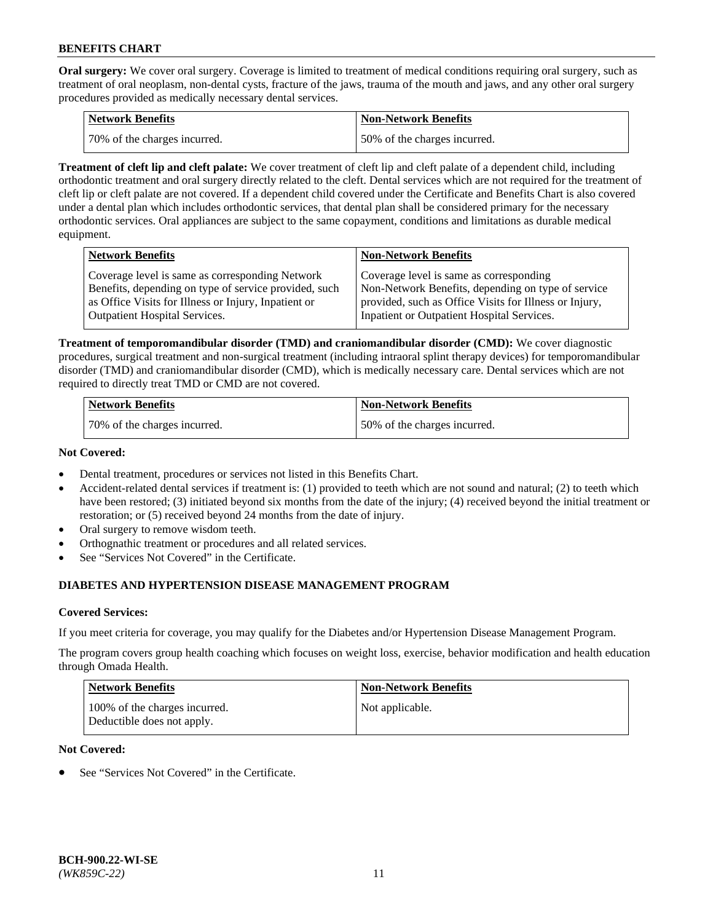**Oral surgery:** We cover oral surgery. Coverage is limited to treatment of medical conditions requiring oral surgery, such as treatment of oral neoplasm, non-dental cysts, fracture of the jaws, trauma of the mouth and jaws, and any other oral surgery procedures provided as medically necessary dental services.

| <b>Network Benefits</b>       | <b>Non-Network Benefits</b>  |
|-------------------------------|------------------------------|
| 170% of the charges incurred. | 50% of the charges incurred. |

**Treatment of cleft lip and cleft palate:** We cover treatment of cleft lip and cleft palate of a dependent child, including orthodontic treatment and oral surgery directly related to the cleft. Dental services which are not required for the treatment of cleft lip or cleft palate are not covered. If a dependent child covered under the Certificate and Benefits Chart is also covered under a dental plan which includes orthodontic services, that dental plan shall be considered primary for the necessary orthodontic services. Oral appliances are subject to the same copayment, conditions and limitations as durable medical equipment.

| <b>Network Benefits</b>                               | <b>Non-Network Benefits</b>                            |
|-------------------------------------------------------|--------------------------------------------------------|
| Coverage level is same as corresponding Network       | Coverage level is same as corresponding                |
| Benefits, depending on type of service provided, such | Non-Network Benefits, depending on type of service     |
| as Office Visits for Illness or Injury, Inpatient or  | provided, such as Office Visits for Illness or Injury, |
| <b>Outpatient Hospital Services.</b>                  | Inpatient or Outpatient Hospital Services.             |

**Treatment of temporomandibular disorder (TMD) and craniomandibular disorder (CMD):** We cover diagnostic procedures, surgical treatment and non-surgical treatment (including intraoral splint therapy devices) for temporomandibular disorder (TMD) and craniomandibular disorder (CMD), which is medically necessary care. Dental services which are not required to directly treat TMD or CMD are not covered.

| <b>Network Benefits</b>      | <b>Non-Network Benefits</b>  |
|------------------------------|------------------------------|
| 70% of the charges incurred. | 50% of the charges incurred. |

#### **Not Covered:**

- Dental treatment, procedures or services not listed in this Benefits Chart.
- Accident-related dental services if treatment is: (1) provided to teeth which are not sound and natural; (2) to teeth which have been restored; (3) initiated beyond six months from the date of the injury; (4) received beyond the initial treatment or restoration; or (5) received beyond 24 months from the date of injury.
- Oral surgery to remove wisdom teeth.
- Orthognathic treatment or procedures and all related services.
- See "Services Not Covered" in the Certificate.

## **DIABETES AND HYPERTENSION DISEASE MANAGEMENT PROGRAM**

## **Covered Services:**

If you meet criteria for coverage, you may qualify for the Diabetes and/or Hypertension Disease Management Program.

The program covers group health coaching which focuses on weight loss, exercise, behavior modification and health education through Omada Health.

| <b>Network Benefits</b>                                     | <b>Non-Network Benefits</b> |
|-------------------------------------------------------------|-----------------------------|
| 100% of the charges incurred.<br>Deductible does not apply. | Not applicable.             |

## **Not Covered:**

See "Services Not Covered" in the Certificate.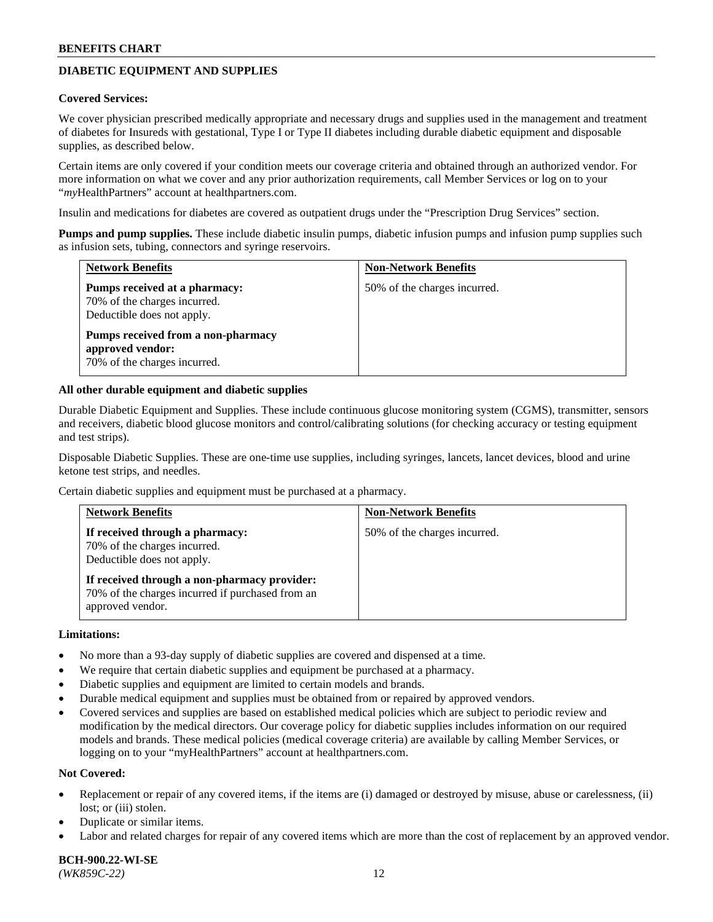## **DIABETIC EQUIPMENT AND SUPPLIES**

#### **Covered Services:**

We cover physician prescribed medically appropriate and necessary drugs and supplies used in the management and treatment of diabetes for Insureds with gestational, Type I or Type II diabetes including durable diabetic equipment and disposable supplies, as described below.

Certain items are only covered if your condition meets our coverage criteria and obtained through an authorized vendor. For more information on what we cover and any prior authorization requirements, call Member Services or log on to your "*my*HealthPartners" account at [healthpartners.com.](http://www.healthpartners.com/)

Insulin and medications for diabetes are covered as outpatient drugs under the "Prescription Drug Services" section.

**Pumps and pump supplies.** These include diabetic insulin pumps, diabetic infusion pumps and infusion pump supplies such as infusion sets, tubing, connectors and syringe reservoirs.

| <b>Network Benefits</b>                                                                     | <b>Non-Network Benefits</b>  |
|---------------------------------------------------------------------------------------------|------------------------------|
| Pumps received at a pharmacy:<br>70% of the charges incurred.<br>Deductible does not apply. | 50% of the charges incurred. |
| Pumps received from a non-pharmacy<br>approved vendor:<br>70% of the charges incurred.      |                              |

#### **All other durable equipment and diabetic supplies**

Durable Diabetic Equipment and Supplies. These include continuous glucose monitoring system (CGMS), transmitter, sensors and receivers, diabetic blood glucose monitors and control/calibrating solutions (for checking accuracy or testing equipment and test strips).

Disposable Diabetic Supplies. These are one-time use supplies, including syringes, lancets, lancet devices, blood and urine ketone test strips, and needles.

Certain diabetic supplies and equipment must be purchased at a pharmacy.

| <b>Network Benefits</b>                                                                                              | <b>Non-Network Benefits</b>  |
|----------------------------------------------------------------------------------------------------------------------|------------------------------|
| If received through a pharmacy:<br>70% of the charges incurred.<br>Deductible does not apply.                        | 50% of the charges incurred. |
| If received through a non-pharmacy provider:<br>70% of the charges incurred if purchased from an<br>approved vendor. |                              |

#### **Limitations:**

- No more than a 93-day supply of diabetic supplies are covered and dispensed at a time.
- We require that certain diabetic supplies and equipment be purchased at a pharmacy.
- Diabetic supplies and equipment are limited to certain models and brands.
- Durable medical equipment and supplies must be obtained from or repaired by approved vendors.
- Covered services and supplies are based on established medical policies which are subject to periodic review and modification by the medical directors. Our coverage policy for diabetic supplies includes information on our required models and brands. These medical policies (medical coverage criteria) are available by calling Member Services, or logging on to your "myHealthPartners" account at [healthpartners.com.](http://www.healthpartners.com/)

#### **Not Covered:**

- Replacement or repair of any covered items, if the items are (i) damaged or destroyed by misuse, abuse or carelessness, (ii) lost; or (iii) stolen.
- Duplicate or similar items.
- Labor and related charges for repair of any covered items which are more than the cost of replacement by an approved vendor.

**BCH-900.22-WI-SE**  *(WK859C-22)* 12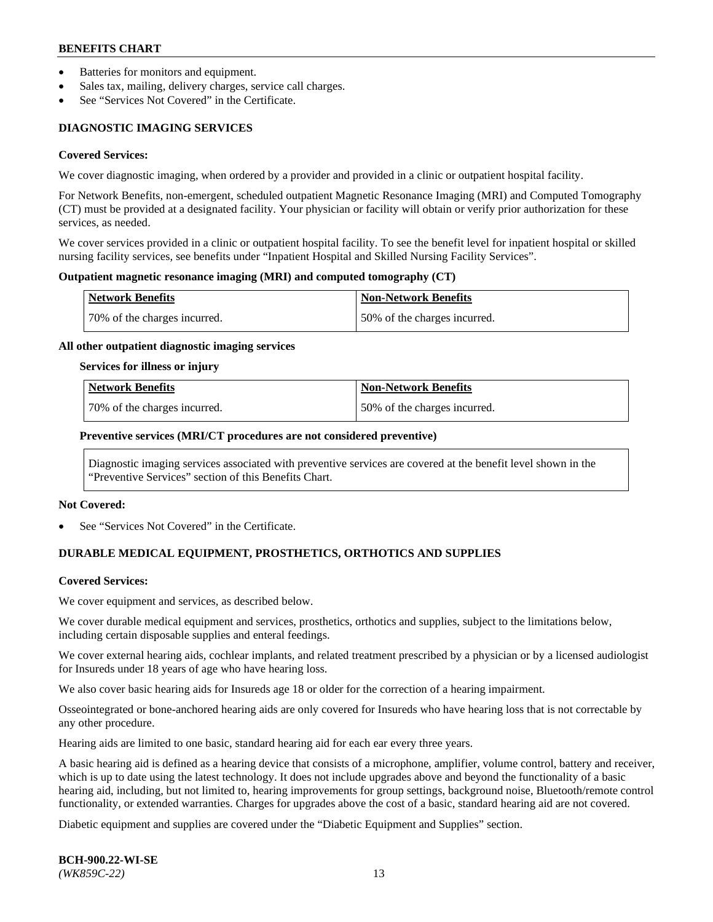- Batteries for monitors and equipment.
- Sales tax, mailing, delivery charges, service call charges.
- See "Services Not Covered" in the Certificate.

## **DIAGNOSTIC IMAGING SERVICES**

#### **Covered Services:**

We cover diagnostic imaging, when ordered by a provider and provided in a clinic or outpatient hospital facility.

For Network Benefits, non-emergent, scheduled outpatient Magnetic Resonance Imaging (MRI) and Computed Tomography (CT) must be provided at a designated facility. Your physician or facility will obtain or verify prior authorization for these services, as needed.

We cover services provided in a clinic or outpatient hospital facility. To see the benefit level for inpatient hospital or skilled nursing facility services, see benefits under "Inpatient Hospital and Skilled Nursing Facility Services".

#### **Outpatient magnetic resonance imaging (MRI) and computed tomography (CT)**

| <b>Network Benefits</b>      | <b>Non-Network Benefits</b>  |
|------------------------------|------------------------------|
| 70% of the charges incurred. | 50% of the charges incurred. |

#### **All other outpatient diagnostic imaging services**

#### **Services for illness or injury**

| Network Benefits             | <b>Non-Network Benefits</b>  |
|------------------------------|------------------------------|
| 70% of the charges incurred. | 50% of the charges incurred. |

#### **Preventive services (MRI/CT procedures are not considered preventive)**

Diagnostic imaging services associated with preventive services are covered at the benefit level shown in the "Preventive Services" section of this Benefits Chart.

#### **Not Covered:**

See "Services Not Covered" in the Certificate.

## **DURABLE MEDICAL EQUIPMENT, PROSTHETICS, ORTHOTICS AND SUPPLIES**

#### **Covered Services:**

We cover equipment and services, as described below.

We cover durable medical equipment and services, prosthetics, orthotics and supplies, subject to the limitations below, including certain disposable supplies and enteral feedings.

We cover external hearing aids, cochlear implants, and related treatment prescribed by a physician or by a licensed audiologist for Insureds under 18 years of age who have hearing loss.

We also cover basic hearing aids for Insureds age 18 or older for the correction of a hearing impairment.

Osseointegrated or bone-anchored hearing aids are only covered for Insureds who have hearing loss that is not correctable by any other procedure.

Hearing aids are limited to one basic, standard hearing aid for each ear every three years.

A basic hearing aid is defined as a hearing device that consists of a microphone, amplifier, volume control, battery and receiver, which is up to date using the latest technology. It does not include upgrades above and beyond the functionality of a basic hearing aid, including, but not limited to, hearing improvements for group settings, background noise, Bluetooth/remote control functionality, or extended warranties. Charges for upgrades above the cost of a basic, standard hearing aid are not covered.

Diabetic equipment and supplies are covered under the "Diabetic Equipment and Supplies" section.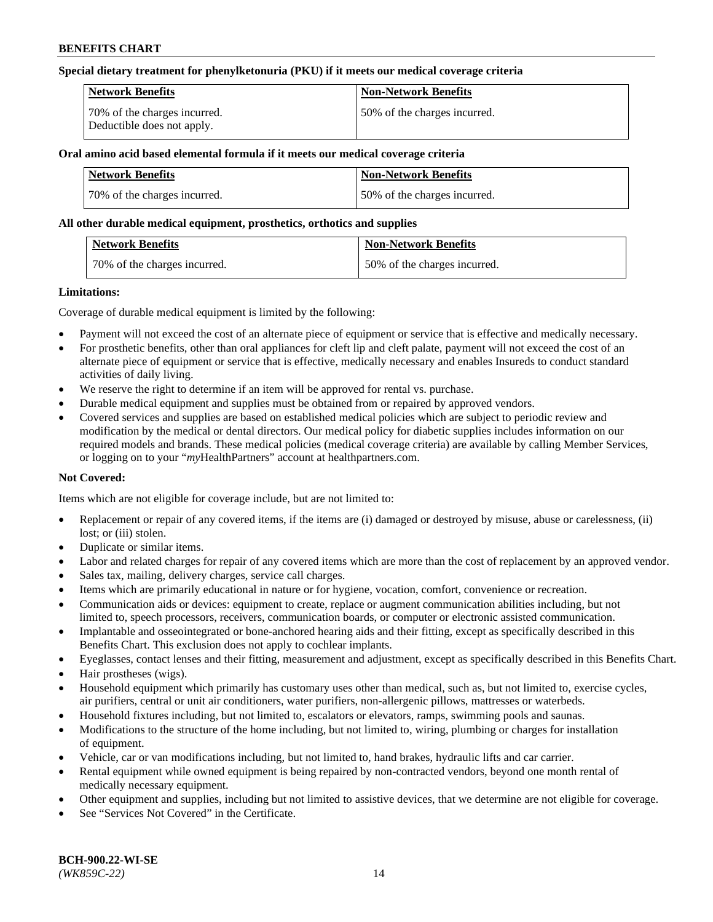#### **Special dietary treatment for phenylketonuria (PKU) if it meets our medical coverage criteria**

| Network Benefits                                           | <b>Non-Network Benefits</b>  |
|------------------------------------------------------------|------------------------------|
| 70% of the charges incurred.<br>Deductible does not apply. | 50% of the charges incurred. |

## **Oral amino acid based elemental formula if it meets our medical coverage criteria**

| Network Benefits             | <b>Non-Network Benefits</b>  |
|------------------------------|------------------------------|
| 70% of the charges incurred. | 50% of the charges incurred. |

#### **All other durable medical equipment, prosthetics, orthotics and supplies**

| <b>Network Benefits</b>      | <b>Non-Network Benefits</b>  |
|------------------------------|------------------------------|
| 70% of the charges incurred. | 50% of the charges incurred. |

#### **Limitations:**

Coverage of durable medical equipment is limited by the following:

- Payment will not exceed the cost of an alternate piece of equipment or service that is effective and medically necessary.
- For prosthetic benefits, other than oral appliances for cleft lip and cleft palate, payment will not exceed the cost of an alternate piece of equipment or service that is effective, medically necessary and enables Insureds to conduct standard activities of daily living.
- We reserve the right to determine if an item will be approved for rental vs. purchase.
- Durable medical equipment and supplies must be obtained from or repaired by approved vendors.
- Covered services and supplies are based on established medical policies which are subject to periodic review and modification by the medical or dental directors. Our medical policy for diabetic supplies includes information on our required models and brands. These medical policies (medical coverage criteria) are available by calling Member Services, or logging on to your "*my*HealthPartners" account a[t healthpartners.com.](http://www.healthpartners.com/)

## **Not Covered:**

Items which are not eligible for coverage include, but are not limited to:

- Replacement or repair of any covered items, if the items are (i) damaged or destroyed by misuse, abuse or carelessness, (ii) lost; or (iii) stolen.
- Duplicate or similar items.
- Labor and related charges for repair of any covered items which are more than the cost of replacement by an approved vendor.
- Sales tax, mailing, delivery charges, service call charges.
- Items which are primarily educational in nature or for hygiene, vocation, comfort, convenience or recreation.
- Communication aids or devices: equipment to create, replace or augment communication abilities including, but not limited to, speech processors, receivers, communication boards, or computer or electronic assisted communication.
- Implantable and osseointegrated or bone-anchored hearing aids and their fitting, except as specifically described in this Benefits Chart. This exclusion does not apply to cochlear implants.
- Eyeglasses, contact lenses and their fitting, measurement and adjustment, except as specifically described in this Benefits Chart.
- Hair prostheses (wigs).
- Household equipment which primarily has customary uses other than medical, such as, but not limited to, exercise cycles, air purifiers, central or unit air conditioners, water purifiers, non-allergenic pillows, mattresses or waterbeds.
- Household fixtures including, but not limited to, escalators or elevators, ramps, swimming pools and saunas.
- Modifications to the structure of the home including, but not limited to, wiring, plumbing or charges for installation of equipment.
- Vehicle, car or van modifications including, but not limited to, hand brakes, hydraulic lifts and car carrier.
- Rental equipment while owned equipment is being repaired by non-contracted vendors, beyond one month rental of medically necessary equipment.
- Other equipment and supplies, including but not limited to assistive devices, that we determine are not eligible for coverage.
- See "Services Not Covered" in the Certificate.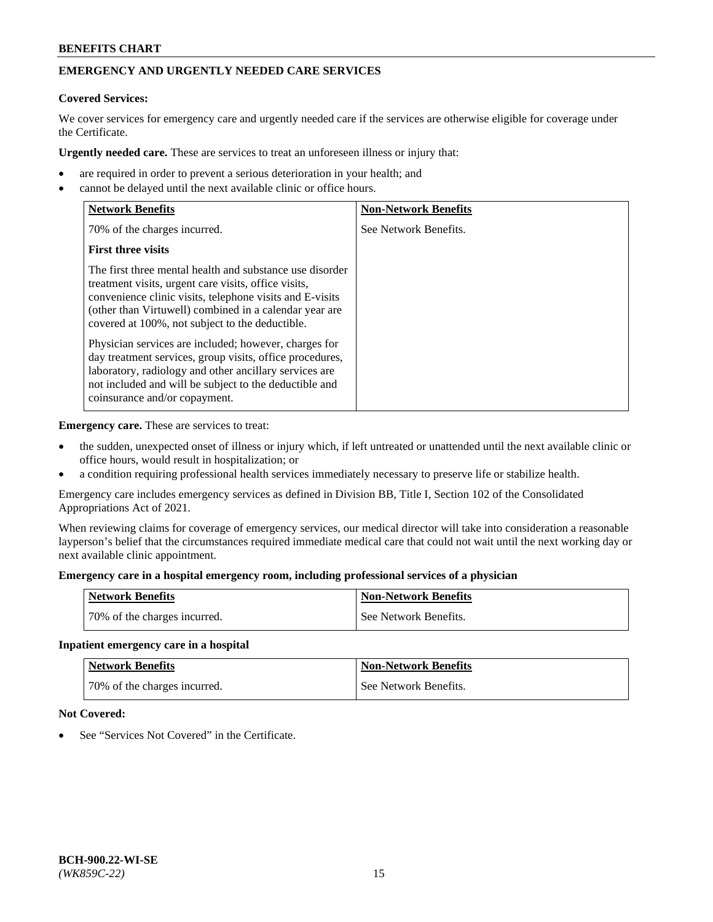## **EMERGENCY AND URGENTLY NEEDED CARE SERVICES**

#### **Covered Services:**

We cover services for emergency care and urgently needed care if the services are otherwise eligible for coverage under the Certificate.

**Urgently needed care.** These are services to treat an unforeseen illness or injury that:

- are required in order to prevent a serious deterioration in your health; and
- cannot be delayed until the next available clinic or office hours.

| <b>Network Benefits</b>                                                                                                                                                                                                                                                                   | <b>Non-Network Benefits</b> |
|-------------------------------------------------------------------------------------------------------------------------------------------------------------------------------------------------------------------------------------------------------------------------------------------|-----------------------------|
| 70% of the charges incurred.                                                                                                                                                                                                                                                              | See Network Benefits.       |
| <b>First three visits</b>                                                                                                                                                                                                                                                                 |                             |
| The first three mental health and substance use disorder<br>treatment visits, urgent care visits, office visits,<br>convenience clinic visits, telephone visits and E-visits<br>(other than Virtuwell) combined in a calendar year are<br>covered at 100%, not subject to the deductible. |                             |
| Physician services are included; however, charges for<br>day treatment services, group visits, office procedures,<br>laboratory, radiology and other ancillary services are<br>not included and will be subject to the deductible and<br>coinsurance and/or copayment.                    |                             |

**Emergency care.** These are services to treat:

- the sudden, unexpected onset of illness or injury which, if left untreated or unattended until the next available clinic or office hours, would result in hospitalization; or
- a condition requiring professional health services immediately necessary to preserve life or stabilize health.

Emergency care includes emergency services as defined in Division BB, Title I, Section 102 of the Consolidated Appropriations Act of 2021.

When reviewing claims for coverage of emergency services, our medical director will take into consideration a reasonable layperson's belief that the circumstances required immediate medical care that could not wait until the next working day or next available clinic appointment.

#### **Emergency care in a hospital emergency room, including professional services of a physician**

| <b>Network Benefits</b>      | <b>Non-Network Benefits</b> |
|------------------------------|-----------------------------|
| 70% of the charges incurred. | See Network Benefits.       |

#### **Inpatient emergency care in a hospital**

| <b>Network Benefits</b>      | Non-Network Benefits  |
|------------------------------|-----------------------|
| 70% of the charges incurred. | See Network Benefits. |

#### **Not Covered:**

See "Services Not Covered" in the Certificate.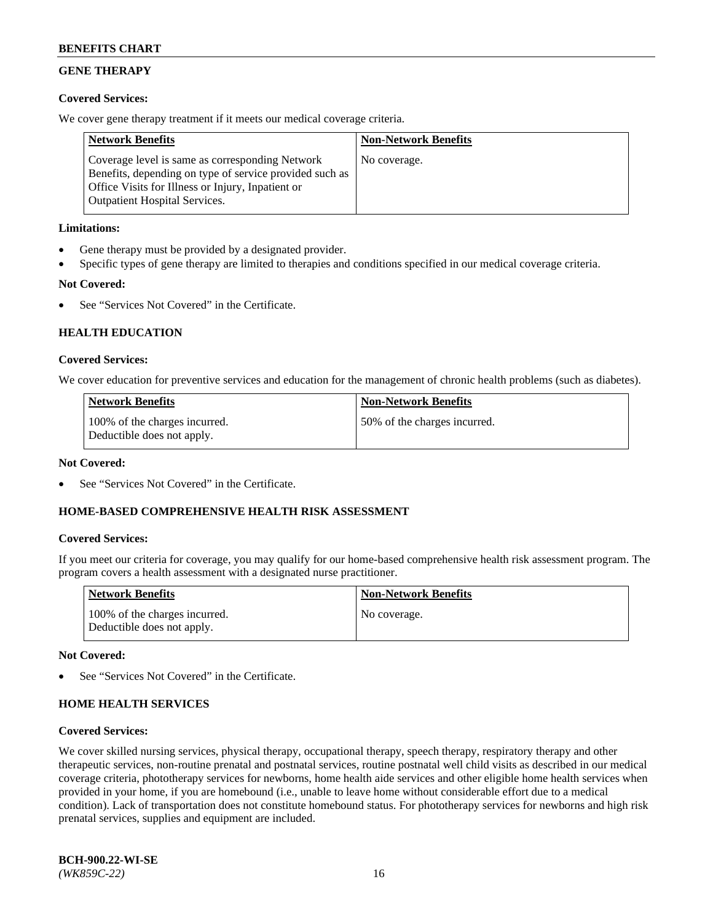## **GENE THERAPY**

## **Covered Services:**

We cover gene therapy treatment if it meets our medical coverage criteria.

| <b>Network Benefits</b>                                                                                                                                                                                 | <b>Non-Network Benefits</b> |
|---------------------------------------------------------------------------------------------------------------------------------------------------------------------------------------------------------|-----------------------------|
| Coverage level is same as corresponding Network<br>Benefits, depending on type of service provided such as<br>Office Visits for Illness or Injury, Inpatient or<br><b>Outpatient Hospital Services.</b> | No coverage.                |

## **Limitations:**

- Gene therapy must be provided by a designated provider.
- Specific types of gene therapy are limited to therapies and conditions specified in our medical coverage criteria.

## **Not Covered:**

See "Services Not Covered" in the Certificate.

## **HEALTH EDUCATION**

## **Covered Services:**

We cover education for preventive services and education for the management of chronic health problems (such as diabetes).

| <b>Network Benefits</b>                                     | <b>Non-Network Benefits</b>   |
|-------------------------------------------------------------|-------------------------------|
| 100% of the charges incurred.<br>Deductible does not apply. | 150% of the charges incurred. |

#### **Not Covered:**

See "Services Not Covered" in the Certificate.

## **HOME-BASED COMPREHENSIVE HEALTH RISK ASSESSMENT**

## **Covered Services:**

If you meet our criteria for coverage, you may qualify for our home-based comprehensive health risk assessment program. The program covers a health assessment with a designated nurse practitioner.

| <b>Network Benefits</b>                                     | <b>Non-Network Benefits</b> |
|-------------------------------------------------------------|-----------------------------|
| 100% of the charges incurred.<br>Deductible does not apply. | No coverage.                |

## **Not Covered:**

See "Services Not Covered" in the Certificate.

## **HOME HEALTH SERVICES**

## **Covered Services:**

We cover skilled nursing services, physical therapy, occupational therapy, speech therapy, respiratory therapy and other therapeutic services, non-routine prenatal and postnatal services, routine postnatal well child visits as described in our medical coverage criteria, phototherapy services for newborns, home health aide services and other eligible home health services when provided in your home, if you are homebound (i.e., unable to leave home without considerable effort due to a medical condition). Lack of transportation does not constitute homebound status. For phototherapy services for newborns and high risk prenatal services, supplies and equipment are included.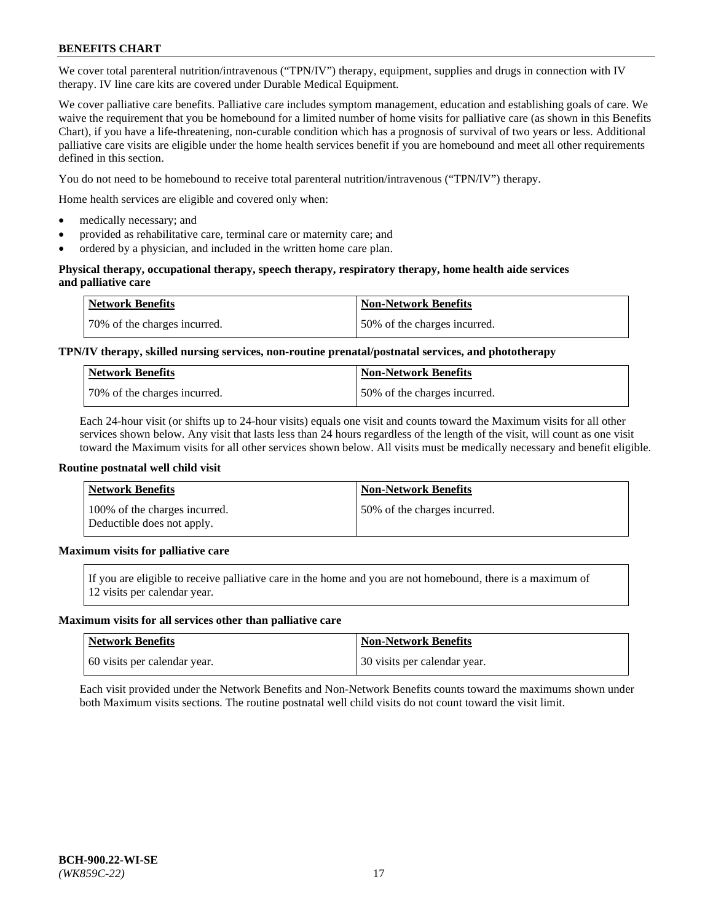We cover total parenteral nutrition/intravenous ("TPN/IV") therapy, equipment, supplies and drugs in connection with IV therapy. IV line care kits are covered under Durable Medical Equipment.

We cover palliative care benefits. Palliative care includes symptom management, education and establishing goals of care. We waive the requirement that you be homebound for a limited number of home visits for palliative care (as shown in this Benefits Chart), if you have a life-threatening, non-curable condition which has a prognosis of survival of two years or less. Additional palliative care visits are eligible under the home health services benefit if you are homebound and meet all other requirements defined in this section.

You do not need to be homebound to receive total parenteral nutrition/intravenous ("TPN/IV") therapy.

Home health services are eligible and covered only when:

- medically necessary; and
- provided as rehabilitative care, terminal care or maternity care; and
- ordered by a physician, and included in the written home care plan.

#### **Physical therapy, occupational therapy, speech therapy, respiratory therapy, home health aide services and palliative care**

| <b>Network Benefits</b>      | <b>Non-Network Benefits</b>  |
|------------------------------|------------------------------|
| 70% of the charges incurred. | 50% of the charges incurred. |

## **TPN/IV therapy, skilled nursing services, non-routine prenatal/postnatal services, and phototherapy**

| <b>Network Benefits</b>      | Non-Network Benefits         |
|------------------------------|------------------------------|
| 70% of the charges incurred. | 50% of the charges incurred. |

Each 24-hour visit (or shifts up to 24-hour visits) equals one visit and counts toward the Maximum visits for all other services shown below. Any visit that lasts less than 24 hours regardless of the length of the visit, will count as one visit toward the Maximum visits for all other services shown below. All visits must be medically necessary and benefit eligible.

#### **Routine postnatal well child visit**

| <b>Network Benefits</b>                                     | <b>Non-Network Benefits</b>  |
|-------------------------------------------------------------|------------------------------|
| 100% of the charges incurred.<br>Deductible does not apply. | 50% of the charges incurred. |

## **Maximum visits for palliative care**

If you are eligible to receive palliative care in the home and you are not homebound, there is a maximum of 12 visits per calendar year.

#### **Maximum visits for all services other than palliative care**

| <b>Network Benefits</b>      | <b>Non-Network Benefits</b>  |
|------------------------------|------------------------------|
| 60 visits per calendar year. | 30 visits per calendar year. |

Each visit provided under the Network Benefits and Non-Network Benefits counts toward the maximums shown under both Maximum visits sections. The routine postnatal well child visits do not count toward the visit limit.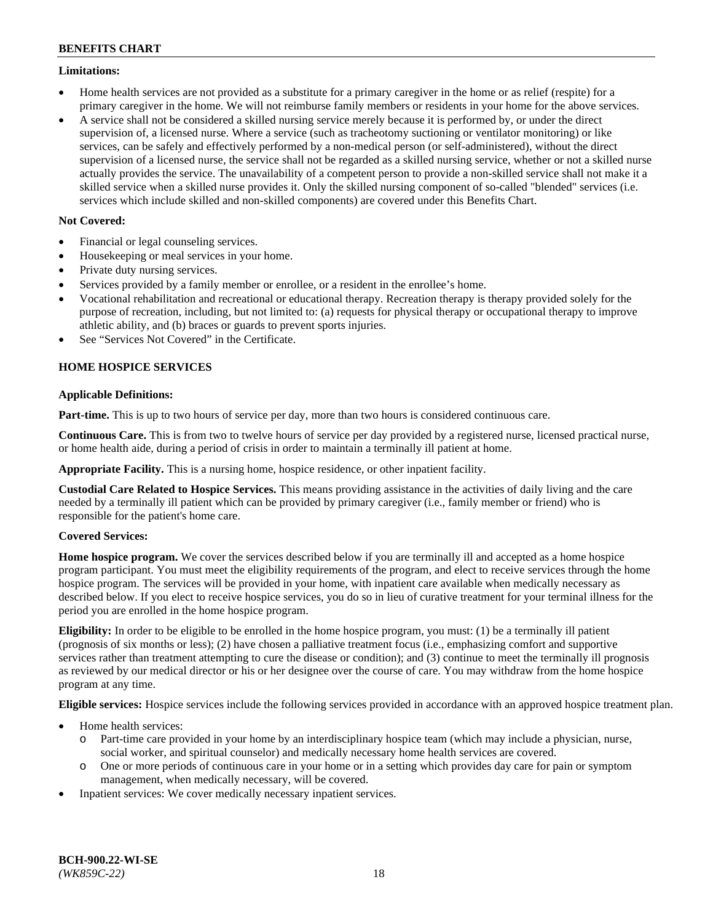#### **Limitations:**

- Home health services are not provided as a substitute for a primary caregiver in the home or as relief (respite) for a primary caregiver in the home. We will not reimburse family members or residents in your home for the above services.
- A service shall not be considered a skilled nursing service merely because it is performed by, or under the direct supervision of, a licensed nurse. Where a service (such as tracheotomy suctioning or ventilator monitoring) or like services, can be safely and effectively performed by a non-medical person (or self-administered), without the direct supervision of a licensed nurse, the service shall not be regarded as a skilled nursing service, whether or not a skilled nurse actually provides the service. The unavailability of a competent person to provide a non-skilled service shall not make it a skilled service when a skilled nurse provides it. Only the skilled nursing component of so-called "blended" services (i.e. services which include skilled and non-skilled components) are covered under this Benefits Chart.

## **Not Covered:**

- Financial or legal counseling services.
- Housekeeping or meal services in your home.
- Private duty nursing services.
- Services provided by a family member or enrollee, or a resident in the enrollee's home.
- Vocational rehabilitation and recreational or educational therapy. Recreation therapy is therapy provided solely for the purpose of recreation, including, but not limited to: (a) requests for physical therapy or occupational therapy to improve athletic ability, and (b) braces or guards to prevent sports injuries.
- See "Services Not Covered" in the Certificate.

## **HOME HOSPICE SERVICES**

## **Applicable Definitions:**

**Part-time.** This is up to two hours of service per day, more than two hours is considered continuous care.

**Continuous Care.** This is from two to twelve hours of service per day provided by a registered nurse, licensed practical nurse, or home health aide, during a period of crisis in order to maintain a terminally ill patient at home.

**Appropriate Facility.** This is a nursing home, hospice residence, or other inpatient facility.

**Custodial Care Related to Hospice Services.** This means providing assistance in the activities of daily living and the care needed by a terminally ill patient which can be provided by primary caregiver (i.e., family member or friend) who is responsible for the patient's home care.

## **Covered Services:**

**Home hospice program.** We cover the services described below if you are terminally ill and accepted as a home hospice program participant. You must meet the eligibility requirements of the program, and elect to receive services through the home hospice program. The services will be provided in your home, with inpatient care available when medically necessary as described below. If you elect to receive hospice services, you do so in lieu of curative treatment for your terminal illness for the period you are enrolled in the home hospice program.

**Eligibility:** In order to be eligible to be enrolled in the home hospice program, you must: (1) be a terminally ill patient (prognosis of six months or less); (2) have chosen a palliative treatment focus (i.e., emphasizing comfort and supportive services rather than treatment attempting to cure the disease or condition); and (3) continue to meet the terminally ill prognosis as reviewed by our medical director or his or her designee over the course of care. You may withdraw from the home hospice program at any time.

**Eligible services:** Hospice services include the following services provided in accordance with an approved hospice treatment plan.

- Home health services:
	- o Part-time care provided in your home by an interdisciplinary hospice team (which may include a physician, nurse, social worker, and spiritual counselor) and medically necessary home health services are covered.
	- o One or more periods of continuous care in your home or in a setting which provides day care for pain or symptom management, when medically necessary, will be covered.
- Inpatient services: We cover medically necessary inpatient services.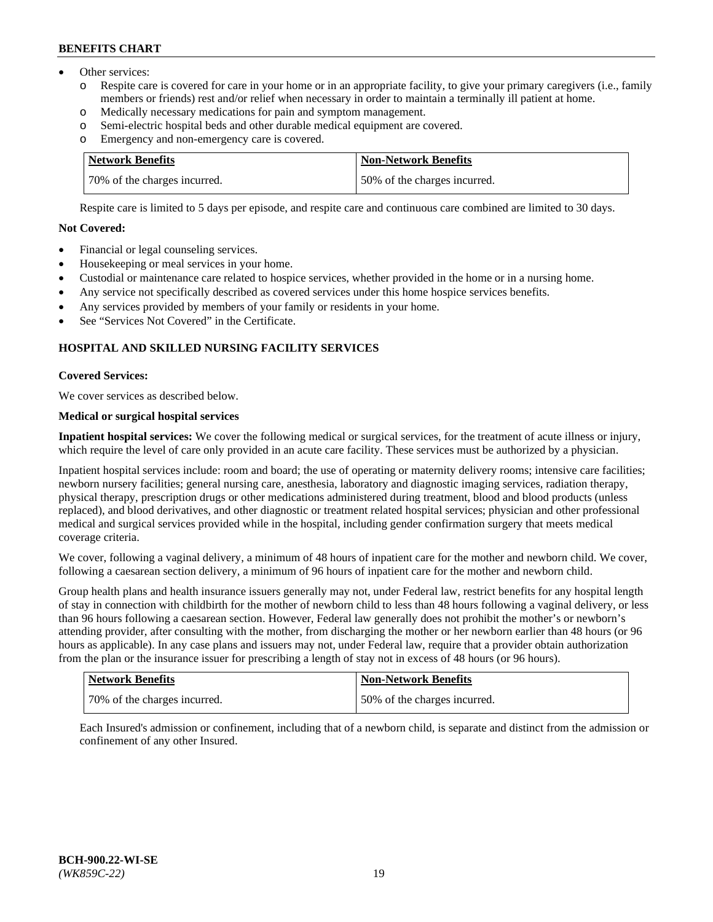- Other services:
	- o Respite care is covered for care in your home or in an appropriate facility, to give your primary caregivers (i.e., family members or friends) rest and/or relief when necessary in order to maintain a terminally ill patient at home.
	- o Medically necessary medications for pain and symptom management.
	- o Semi-electric hospital beds and other durable medical equipment are covered.
	- Emergency and non-emergency care is covered.

| Network Benefits             | Non-Network Benefits         |
|------------------------------|------------------------------|
| 70% of the charges incurred. | 50% of the charges incurred. |

Respite care is limited to 5 days per episode, and respite care and continuous care combined are limited to 30 days.

## **Not Covered:**

- Financial or legal counseling services.
- Housekeeping or meal services in your home.
- Custodial or maintenance care related to hospice services, whether provided in the home or in a nursing home.
- Any service not specifically described as covered services under this home hospice services benefits.
- Any services provided by members of your family or residents in your home.
- See "Services Not Covered" in the Certificate.

## **HOSPITAL AND SKILLED NURSING FACILITY SERVICES**

#### **Covered Services:**

We cover services as described below.

## **Medical or surgical hospital services**

**Inpatient hospital services:** We cover the following medical or surgical services, for the treatment of acute illness or injury, which require the level of care only provided in an acute care facility. These services must be authorized by a physician.

Inpatient hospital services include: room and board; the use of operating or maternity delivery rooms; intensive care facilities; newborn nursery facilities; general nursing care, anesthesia, laboratory and diagnostic imaging services, radiation therapy, physical therapy, prescription drugs or other medications administered during treatment, blood and blood products (unless replaced), and blood derivatives, and other diagnostic or treatment related hospital services; physician and other professional medical and surgical services provided while in the hospital, including gender confirmation surgery that meets medical coverage criteria.

We cover, following a vaginal delivery, a minimum of 48 hours of inpatient care for the mother and newborn child. We cover, following a caesarean section delivery, a minimum of 96 hours of inpatient care for the mother and newborn child.

Group health plans and health insurance issuers generally may not, under Federal law, restrict benefits for any hospital length of stay in connection with childbirth for the mother of newborn child to less than 48 hours following a vaginal delivery, or less than 96 hours following a caesarean section. However, Federal law generally does not prohibit the mother's or newborn's attending provider, after consulting with the mother, from discharging the mother or her newborn earlier than 48 hours (or 96 hours as applicable). In any case plans and issuers may not, under Federal law, require that a provider obtain authorization from the plan or the insurance issuer for prescribing a length of stay not in excess of 48 hours (or 96 hours).

| Network Benefits             | Non-Network Benefits          |
|------------------------------|-------------------------------|
| 70% of the charges incurred. | 150% of the charges incurred. |

Each Insured's admission or confinement, including that of a newborn child, is separate and distinct from the admission or confinement of any other Insured.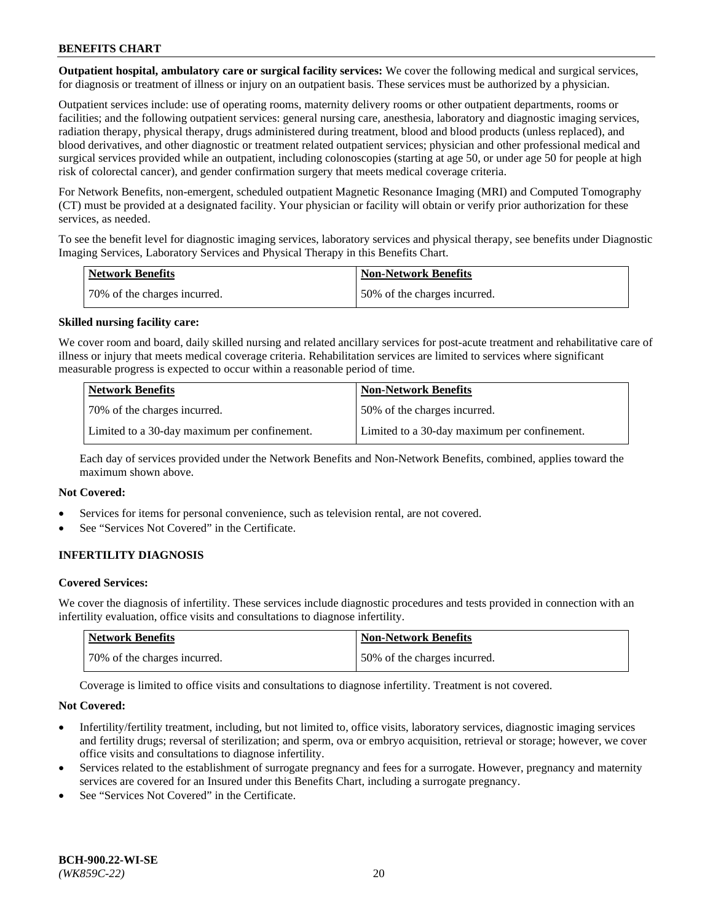**Outpatient hospital, ambulatory care or surgical facility services:** We cover the following medical and surgical services, for diagnosis or treatment of illness or injury on an outpatient basis. These services must be authorized by a physician.

Outpatient services include: use of operating rooms, maternity delivery rooms or other outpatient departments, rooms or facilities; and the following outpatient services: general nursing care, anesthesia, laboratory and diagnostic imaging services, radiation therapy, physical therapy, drugs administered during treatment, blood and blood products (unless replaced), and blood derivatives, and other diagnostic or treatment related outpatient services; physician and other professional medical and surgical services provided while an outpatient, including colonoscopies (starting at age 50, or under age 50 for people at high risk of colorectal cancer), and gender confirmation surgery that meets medical coverage criteria.

For Network Benefits, non-emergent, scheduled outpatient Magnetic Resonance Imaging (MRI) and Computed Tomography (CT) must be provided at a designated facility. Your physician or facility will obtain or verify prior authorization for these services, as needed.

To see the benefit level for diagnostic imaging services, laboratory services and physical therapy, see benefits under Diagnostic Imaging Services, Laboratory Services and Physical Therapy in this Benefits Chart.

| <b>Network Benefits</b>       | <b>Non-Network Benefits</b>  |
|-------------------------------|------------------------------|
| 170% of the charges incurred. | 50% of the charges incurred. |

#### **Skilled nursing facility care:**

We cover room and board, daily skilled nursing and related ancillary services for post-acute treatment and rehabilitative care of illness or injury that meets medical coverage criteria. Rehabilitation services are limited to services where significant measurable progress is expected to occur within a reasonable period of time.

| <b>Network Benefits</b> |                                              | <b>Non-Network Benefits</b>                  |
|-------------------------|----------------------------------------------|----------------------------------------------|
|                         | 70\% of the charges incurred.                | 50% of the charges incurred.                 |
|                         | Limited to a 30-day maximum per confinement. | Limited to a 30-day maximum per confinement. |

Each day of services provided under the Network Benefits and Non-Network Benefits, combined, applies toward the maximum shown above.

## **Not Covered:**

- Services for items for personal convenience, such as television rental, are not covered.
- See "Services Not Covered" in the Certificate.

## **INFERTILITY DIAGNOSIS**

#### **Covered Services:**

We cover the diagnosis of infertility. These services include diagnostic procedures and tests provided in connection with an infertility evaluation, office visits and consultations to diagnose infertility.

| Network Benefits             | <b>Non-Network Benefits</b>  |
|------------------------------|------------------------------|
| 70% of the charges incurred. | 50% of the charges incurred. |

Coverage is limited to office visits and consultations to diagnose infertility. Treatment is not covered.

#### **Not Covered:**

- Infertility/fertility treatment, including, but not limited to, office visits, laboratory services, diagnostic imaging services and fertility drugs; reversal of sterilization; and sperm, ova or embryo acquisition, retrieval or storage; however, we cover office visits and consultations to diagnose infertility.
- Services related to the establishment of surrogate pregnancy and fees for a surrogate. However, pregnancy and maternity services are covered for an Insured under this Benefits Chart, including a surrogate pregnancy.
- See "Services Not Covered" in the Certificate.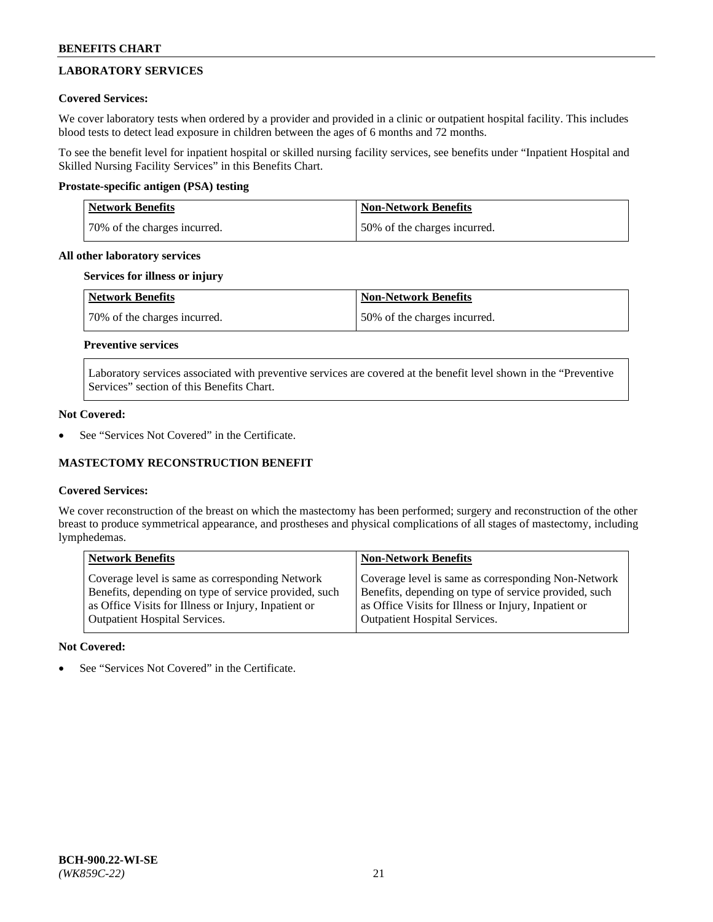# **LABORATORY SERVICES**

## **Covered Services:**

We cover laboratory tests when ordered by a provider and provided in a clinic or outpatient hospital facility. This includes blood tests to detect lead exposure in children between the ages of 6 months and 72 months.

To see the benefit level for inpatient hospital or skilled nursing facility services, see benefits under "Inpatient Hospital and Skilled Nursing Facility Services" in this Benefits Chart.

## **Prostate-specific antigen (PSA) testing**

| <b>Network Benefits</b>      | <b>Non-Network Benefits</b>  |
|------------------------------|------------------------------|
| 70% of the charges incurred. | 50% of the charges incurred. |

#### **All other laboratory services**

### **Services for illness or injury**

| Network Benefits             | <b>Non-Network Benefits</b>  |
|------------------------------|------------------------------|
| 70% of the charges incurred. | 50% of the charges incurred. |

## **Preventive services**

Laboratory services associated with preventive services are covered at the benefit level shown in the "Preventive Services" section of this Benefits Chart.

#### **Not Covered:**

See "Services Not Covered" in the Certificate.

## **MASTECTOMY RECONSTRUCTION BENEFIT**

## **Covered Services:**

We cover reconstruction of the breast on which the mastectomy has been performed; surgery and reconstruction of the other breast to produce symmetrical appearance, and prostheses and physical complications of all stages of mastectomy, including lymphedemas.

| <b>Network Benefits</b>                               | <b>Non-Network Benefits</b>                           |
|-------------------------------------------------------|-------------------------------------------------------|
| Coverage level is same as corresponding Network       | Coverage level is same as corresponding Non-Network   |
| Benefits, depending on type of service provided, such | Benefits, depending on type of service provided, such |
| as Office Visits for Illness or Injury, Inpatient or  | as Office Visits for Illness or Injury, Inpatient or  |
| <b>Outpatient Hospital Services.</b>                  | <b>Outpatient Hospital Services.</b>                  |

## **Not Covered:**

See "Services Not Covered" in the Certificate.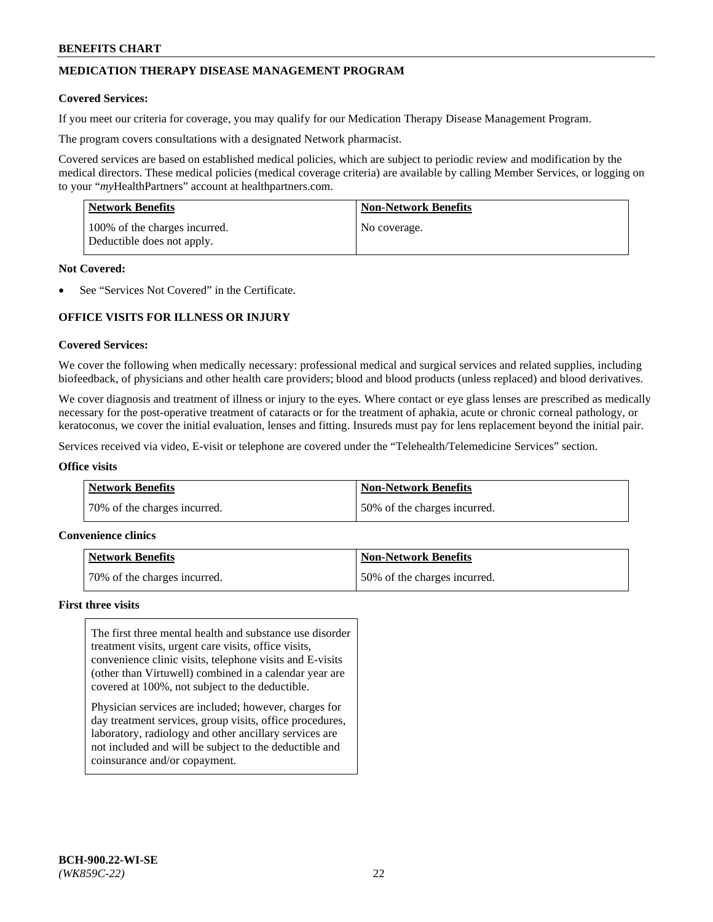## **MEDICATION THERAPY DISEASE MANAGEMENT PROGRAM**

#### **Covered Services:**

If you meet our criteria for coverage, you may qualify for our Medication Therapy Disease Management Program.

The program covers consultations with a designated Network pharmacist.

Covered services are based on established medical policies, which are subject to periodic review and modification by the medical directors. These medical policies (medical coverage criteria) are available by calling Member Services, or logging on to your "*my*HealthPartners" account at [healthpartners.com.](http://www.healthpartners.com/)

| <b>Network Benefits</b>                                     | <b>Non-Network Benefits</b> |
|-------------------------------------------------------------|-----------------------------|
| 100% of the charges incurred.<br>Deductible does not apply. | No coverage.                |

#### **Not Covered:**

See "Services Not Covered" in the Certificate.

## **OFFICE VISITS FOR ILLNESS OR INJURY**

#### **Covered Services:**

We cover the following when medically necessary: professional medical and surgical services and related supplies, including biofeedback, of physicians and other health care providers; blood and blood products (unless replaced) and blood derivatives.

We cover diagnosis and treatment of illness or injury to the eyes. Where contact or eye glass lenses are prescribed as medically necessary for the post-operative treatment of cataracts or for the treatment of aphakia, acute or chronic corneal pathology, or keratoconus, we cover the initial evaluation, lenses and fitting. Insureds must pay for lens replacement beyond the initial pair.

Services received via video, E-visit or telephone are covered under the "Telehealth/Telemedicine Services" section.

#### **Office visits**

| <b>Network Benefits</b>      | <b>Non-Network Benefits</b>  |
|------------------------------|------------------------------|
| 70% of the charges incurred. | 50% of the charges incurred. |

#### **Convenience clinics**

| Network Benefits             | <b>Non-Network Benefits</b>  |
|------------------------------|------------------------------|
| 70% of the charges incurred. | 50% of the charges incurred. |

#### **First three visits**

The first three mental health and substance use disorder treatment visits, urgent care visits, office visits, convenience clinic visits, telephone visits and E-visits (other than Virtuwell) combined in a calendar year are covered at 100%, not subject to the deductible.

Physician services are included; however, charges for day treatment services, group visits, office procedures, laboratory, radiology and other ancillary services are not included and will be subject to the deductible and coinsurance and/or copayment.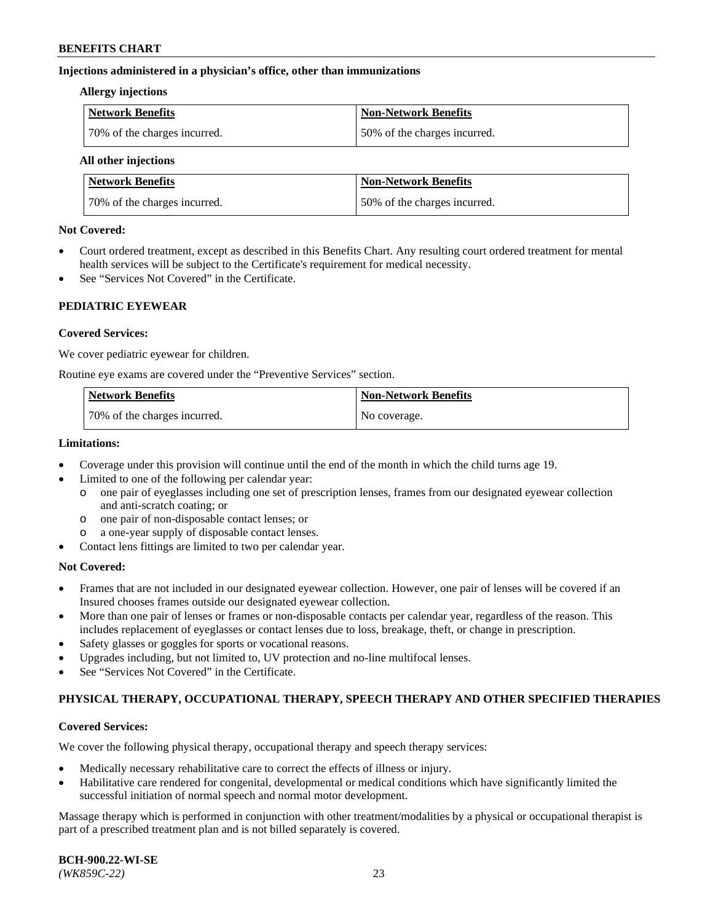#### **Injections administered in a physician's office, other than immunizations**

#### **Allergy injections**

| <b>Network Benefits</b>      | Non-Network Benefits         |
|------------------------------|------------------------------|
| 70% of the charges incurred. | 50% of the charges incurred. |

#### **All other injections**

| <b>Network Benefits</b>      | <b>Non-Network Benefits</b>  |
|------------------------------|------------------------------|
| 70% of the charges incurred. | 50% of the charges incurred. |

#### **Not Covered:**

- Court ordered treatment, except as described in this Benefits Chart. Any resulting court ordered treatment for mental health services will be subject to the Certificate's requirement for medical necessity.
- See "Services Not Covered" in the Certificate.

## **PEDIATRIC EYEWEAR**

#### **Covered Services:**

We cover pediatric eyewear for children.

Routine eye exams are covered under the "Preventive Services" section.

| Network Benefits             | <b>Non-Network Benefits</b> |
|------------------------------|-----------------------------|
| 70% of the charges incurred. | No coverage.                |

#### **Limitations:**

- Coverage under this provision will continue until the end of the month in which the child turns age 19.
- Limited to one of the following per calendar year:
	- o one pair of eyeglasses including one set of prescription lenses, frames from our designated eyewear collection and anti-scratch coating; or
	- o one pair of non-disposable contact lenses; or
	- o a one-year supply of disposable contact lenses.
- Contact lens fittings are limited to two per calendar year.

## **Not Covered:**

- Frames that are not included in our designated eyewear collection. However, one pair of lenses will be covered if an Insured chooses frames outside our designated eyewear collection.
- More than one pair of lenses or frames or non-disposable contacts per calendar year, regardless of the reason. This includes replacement of eyeglasses or contact lenses due to loss, breakage, theft, or change in prescription.
- Safety glasses or goggles for sports or vocational reasons.
- Upgrades including, but not limited to, UV protection and no-line multifocal lenses.
- See "Services Not Covered" in the Certificate.

## **PHYSICAL THERAPY, OCCUPATIONAL THERAPY, SPEECH THERAPY AND OTHER SPECIFIED THERAPIES**

## **Covered Services:**

We cover the following physical therapy, occupational therapy and speech therapy services:

- Medically necessary rehabilitative care to correct the effects of illness or injury.
- Habilitative care rendered for congenital, developmental or medical conditions which have significantly limited the successful initiation of normal speech and normal motor development.

Massage therapy which is performed in conjunction with other treatment/modalities by a physical or occupational therapist is part of a prescribed treatment plan and is not billed separately is covered.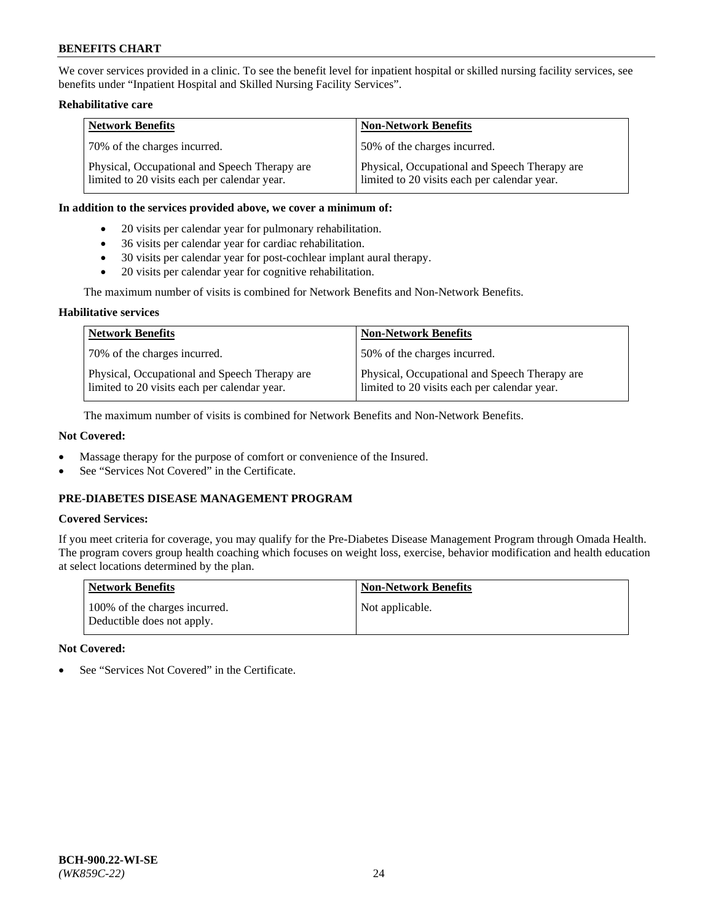We cover services provided in a clinic. To see the benefit level for inpatient hospital or skilled nursing facility services, see benefits under "Inpatient Hospital and Skilled Nursing Facility Services".

### **Rehabilitative care**

| <b>Network Benefits</b>                                                                       | <b>Non-Network Benefits</b>                                                                   |
|-----------------------------------------------------------------------------------------------|-----------------------------------------------------------------------------------------------|
| 70% of the charges incurred.                                                                  | 50% of the charges incurred.                                                                  |
| Physical, Occupational and Speech Therapy are<br>limited to 20 visits each per calendar year. | Physical, Occupational and Speech Therapy are<br>limited to 20 visits each per calendar year. |

#### **In addition to the services provided above, we cover a minimum of:**

- 20 visits per calendar year for pulmonary rehabilitation.
- 36 visits per calendar year for cardiac rehabilitation.
- 30 visits per calendar year for post-cochlear implant aural therapy.
- 20 visits per calendar year for cognitive rehabilitation.

The maximum number of visits is combined for Network Benefits and Non-Network Benefits.

## **Habilitative services**

| <b>Network Benefits</b>                                                                       | <b>Non-Network Benefits</b>                                                                   |
|-----------------------------------------------------------------------------------------------|-----------------------------------------------------------------------------------------------|
| 70% of the charges incurred.                                                                  | 50% of the charges incurred.                                                                  |
| Physical, Occupational and Speech Therapy are<br>limited to 20 visits each per calendar year. | Physical, Occupational and Speech Therapy are<br>limited to 20 visits each per calendar year. |

The maximum number of visits is combined for Network Benefits and Non-Network Benefits.

## **Not Covered:**

- Massage therapy for the purpose of comfort or convenience of the Insured.
- See "Services Not Covered" in the Certificate.

## **PRE-DIABETES DISEASE MANAGEMENT PROGRAM**

## **Covered Services:**

If you meet criteria for coverage, you may qualify for the Pre-Diabetes Disease Management Program through Omada Health. The program covers group health coaching which focuses on weight loss, exercise, behavior modification and health education at select locations determined by the plan.

| <b>Network Benefits</b>                                     | <b>Non-Network Benefits</b> |
|-------------------------------------------------------------|-----------------------------|
| 100% of the charges incurred.<br>Deductible does not apply. | Not applicable.             |

## **Not Covered:**

See "Services Not Covered" in the Certificate.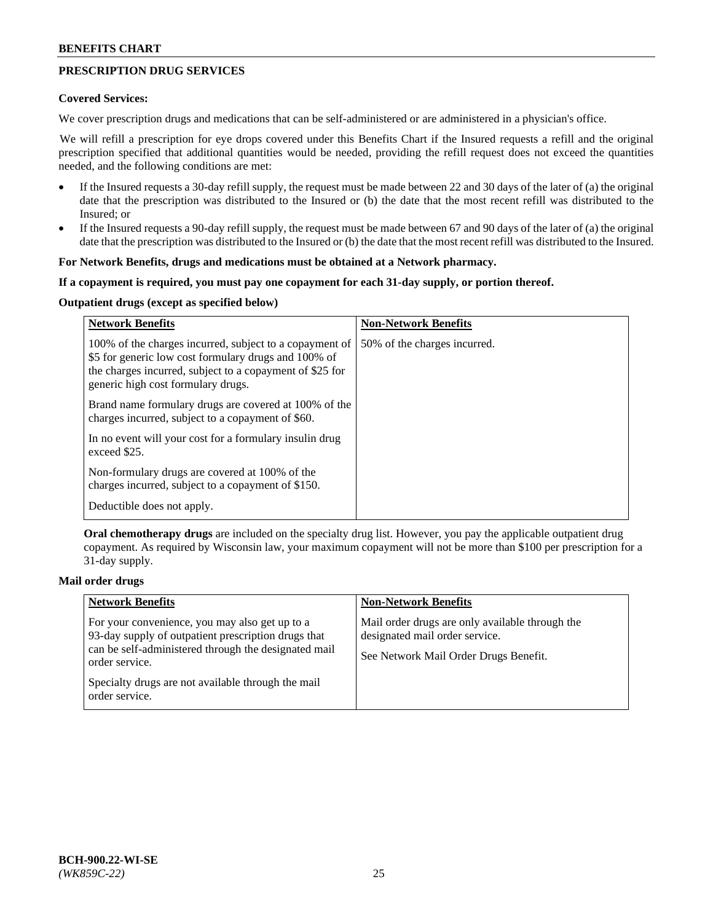## **PRESCRIPTION DRUG SERVICES**

#### **Covered Services:**

We cover prescription drugs and medications that can be self-administered or are administered in a physician's office.

We will refill a prescription for eye drops covered under this Benefits Chart if the Insured requests a refill and the original prescription specified that additional quantities would be needed, providing the refill request does not exceed the quantities needed, and the following conditions are met:

- If the Insured requests a 30-day refill supply, the request must be made between 22 and 30 days of the later of (a) the original date that the prescription was distributed to the Insured or (b) the date that the most recent refill was distributed to the Insured; or
- If the Insured requests a 90-day refill supply, the request must be made between 67 and 90 days of the later of (a) the original date that the prescription was distributed to the Insured or (b) the date that the most recent refill was distributed to the Insured.

### **For Network Benefits, drugs and medications must be obtained at a Network pharmacy.**

#### **If a copayment is required, you must pay one copayment for each 31-day supply, or portion thereof.**

## **Outpatient drugs (except as specified below)**

| <b>Network Benefits</b>                                                                                                                                                                                           | <b>Non-Network Benefits</b>  |
|-------------------------------------------------------------------------------------------------------------------------------------------------------------------------------------------------------------------|------------------------------|
| 100% of the charges incurred, subject to a copayment of<br>\$5 for generic low cost formulary drugs and 100% of<br>the charges incurred, subject to a copayment of \$25 for<br>generic high cost formulary drugs. | 50% of the charges incurred. |
| Brand name formulary drugs are covered at 100% of the<br>charges incurred, subject to a copayment of \$60.                                                                                                        |                              |
| In no event will your cost for a formulary insulin drug<br>exceed \$25.                                                                                                                                           |                              |
| Non-formulary drugs are covered at 100% of the<br>charges incurred, subject to a copayment of \$150.                                                                                                              |                              |
| Deductible does not apply.                                                                                                                                                                                        |                              |

**Oral chemotherapy drugs** are included on the specialty drug list. However, you pay the applicable outpatient drug copayment. As required by Wisconsin law, your maximum copayment will not be more than \$100 per prescription for a 31-day supply.

### **Mail order drugs**

| <b>Network Benefits</b>                                                                                                                                                         | <b>Non-Network Benefits</b>                                                                                                |
|---------------------------------------------------------------------------------------------------------------------------------------------------------------------------------|----------------------------------------------------------------------------------------------------------------------------|
| For your convenience, you may also get up to a<br>93-day supply of outpatient prescription drugs that<br>can be self-administered through the designated mail<br>order service. | Mail order drugs are only available through the<br>designated mail order service.<br>See Network Mail Order Drugs Benefit. |
| Specialty drugs are not available through the mail<br>order service.                                                                                                            |                                                                                                                            |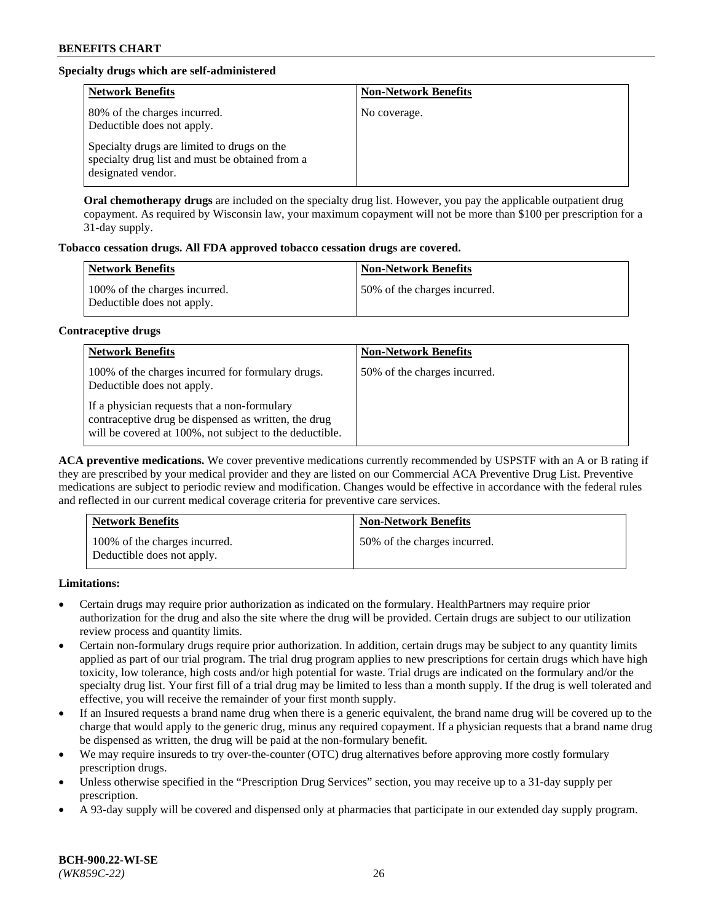## **Specialty drugs which are self-administered**

| <b>Network Benefits</b>                                                                                              | <b>Non-Network Benefits</b> |
|----------------------------------------------------------------------------------------------------------------------|-----------------------------|
| 80% of the charges incurred.<br>Deductible does not apply.                                                           | No coverage.                |
| Specialty drugs are limited to drugs on the<br>specialty drug list and must be obtained from a<br>designated vendor. |                             |

**Oral chemotherapy drugs** are included on the specialty drug list. However, you pay the applicable outpatient drug copayment. As required by Wisconsin law, your maximum copayment will not be more than \$100 per prescription for a 31-day supply.

## **Tobacco cessation drugs. All FDA approved tobacco cessation drugs are covered.**

| <b>Network Benefits</b>                                     | <b>Non-Network Benefits</b>  |
|-------------------------------------------------------------|------------------------------|
| 100% of the charges incurred.<br>Deductible does not apply. | 50% of the charges incurred. |

## **Contraceptive drugs**

| <b>Network Benefits</b>                                                                                                                                         | <b>Non-Network Benefits</b>  |
|-----------------------------------------------------------------------------------------------------------------------------------------------------------------|------------------------------|
| 100% of the charges incurred for formulary drugs.<br>Deductible does not apply.                                                                                 | 50% of the charges incurred. |
| If a physician requests that a non-formulary<br>contraceptive drug be dispensed as written, the drug<br>will be covered at 100%, not subject to the deductible. |                              |

**ACA preventive medications.** We cover preventive medications currently recommended by USPSTF with an A or B rating if they are prescribed by your medical provider and they are listed on our Commercial ACA Preventive Drug List. Preventive medications are subject to periodic review and modification. Changes would be effective in accordance with the federal rules and reflected in our current medical coverage criteria for preventive care services.

| <b>Network Benefits</b>                                     | <b>Non-Network Benefits</b>  |
|-------------------------------------------------------------|------------------------------|
| 100% of the charges incurred.<br>Deductible does not apply. | 50% of the charges incurred. |

**Limitations:**

- Certain drugs may require prior authorization as indicated on the formulary. HealthPartners may require prior authorization for the drug and also the site where the drug will be provided. Certain drugs are subject to our utilization review process and quantity limits.
- Certain non-formulary drugs require prior authorization. In addition, certain drugs may be subject to any quantity limits applied as part of our trial program. The trial drug program applies to new prescriptions for certain drugs which have high toxicity, low tolerance, high costs and/or high potential for waste. Trial drugs are indicated on the formulary and/or the specialty drug list. Your first fill of a trial drug may be limited to less than a month supply. If the drug is well tolerated and effective, you will receive the remainder of your first month supply.
- If an Insured requests a brand name drug when there is a generic equivalent, the brand name drug will be covered up to the charge that would apply to the generic drug, minus any required copayment. If a physician requests that a brand name drug be dispensed as written, the drug will be paid at the non-formulary benefit.
- We may require insureds to try over-the-counter (OTC) drug alternatives before approving more costly formulary prescription drugs.
- Unless otherwise specified in the "Prescription Drug Services" section, you may receive up to a 31-day supply per prescription.
- A 93-day supply will be covered and dispensed only at pharmacies that participate in our extended day supply program.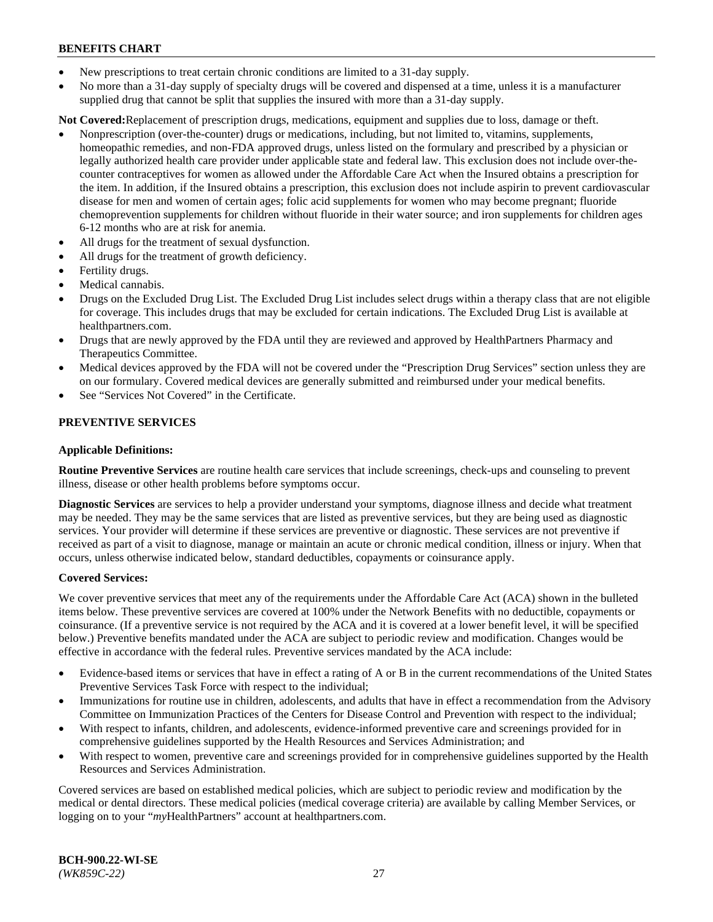- New prescriptions to treat certain chronic conditions are limited to a 31-day supply.
- No more than a 31-day supply of specialty drugs will be covered and dispensed at a time, unless it is a manufacturer supplied drug that cannot be split that supplies the insured with more than a 31-day supply.

**Not Covered:**Replacement of prescription drugs, medications, equipment and supplies due to loss, damage or theft.

- Nonprescription (over-the-counter) drugs or medications, including, but not limited to, vitamins, supplements, homeopathic remedies, and non-FDA approved drugs, unless listed on the formulary and prescribed by a physician or legally authorized health care provider under applicable state and federal law. This exclusion does not include over-thecounter contraceptives for women as allowed under the Affordable Care Act when the Insured obtains a prescription for the item. In addition, if the Insured obtains a prescription, this exclusion does not include aspirin to prevent cardiovascular disease for men and women of certain ages; folic acid supplements for women who may become pregnant; fluoride chemoprevention supplements for children without fluoride in their water source; and iron supplements for children ages 6-12 months who are at risk for anemia.
- All drugs for the treatment of sexual dysfunction.
- All drugs for the treatment of growth deficiency.
- Fertility drugs.
- Medical cannabis.
- Drugs on the Excluded Drug List. The Excluded Drug List includes select drugs within a therapy class that are not eligible for coverage. This includes drugs that may be excluded for certain indications. The Excluded Drug List is available at [healthpartners.com.](http://www.healthpartners.com/)
- Drugs that are newly approved by the FDA until they are reviewed and approved by HealthPartners Pharmacy and Therapeutics Committee.
- Medical devices approved by the FDA will not be covered under the "Prescription Drug Services" section unless they are on our formulary. Covered medical devices are generally submitted and reimbursed under your medical benefits.
- See "Services Not Covered" in the Certificate.

## **PREVENTIVE SERVICES**

#### **Applicable Definitions:**

**Routine Preventive Services** are routine health care services that include screenings, check-ups and counseling to prevent illness, disease or other health problems before symptoms occur.

**Diagnostic Services** are services to help a provider understand your symptoms, diagnose illness and decide what treatment may be needed. They may be the same services that are listed as preventive services, but they are being used as diagnostic services. Your provider will determine if these services are preventive or diagnostic. These services are not preventive if received as part of a visit to diagnose, manage or maintain an acute or chronic medical condition, illness or injury. When that occurs, unless otherwise indicated below, standard deductibles, copayments or coinsurance apply.

#### **Covered Services:**

We cover preventive services that meet any of the requirements under the Affordable Care Act (ACA) shown in the bulleted items below. These preventive services are covered at 100% under the Network Benefits with no deductible, copayments or coinsurance. (If a preventive service is not required by the ACA and it is covered at a lower benefit level, it will be specified below.) Preventive benefits mandated under the ACA are subject to periodic review and modification. Changes would be effective in accordance with the federal rules. Preventive services mandated by the ACA include:

- Evidence-based items or services that have in effect a rating of A or B in the current recommendations of the United States Preventive Services Task Force with respect to the individual;
- Immunizations for routine use in children, adolescents, and adults that have in effect a recommendation from the Advisory Committee on Immunization Practices of the Centers for Disease Control and Prevention with respect to the individual;
- With respect to infants, children, and adolescents, evidence-informed preventive care and screenings provided for in comprehensive guidelines supported by the Health Resources and Services Administration; and
- With respect to women, preventive care and screenings provided for in comprehensive guidelines supported by the Health Resources and Services Administration.

Covered services are based on established medical policies, which are subject to periodic review and modification by the medical or dental directors. These medical policies (medical coverage criteria) are available by calling Member Services, or logging on to your "*my*HealthPartners" account at [healthpartners.com.](https://www.healthpartners.com/hp/index.html)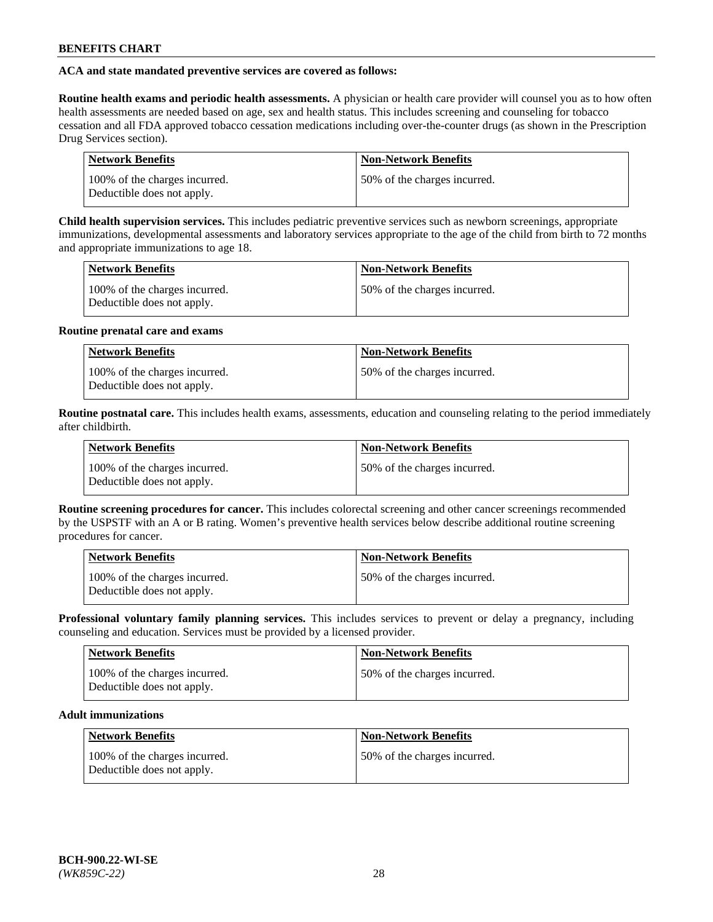## **ACA and state mandated preventive services are covered as follows:**

**Routine health exams and periodic health assessments.** A physician or health care provider will counsel you as to how often health assessments are needed based on age, sex and health status. This includes screening and counseling for tobacco cessation and all FDA approved tobacco cessation medications including over-the-counter drugs (as shown in the Prescription Drug Services section).

| <b>Network Benefits</b>                                     | <b>Non-Network Benefits</b>   |
|-------------------------------------------------------------|-------------------------------|
| 100% of the charges incurred.<br>Deductible does not apply. | 150% of the charges incurred. |

**Child health supervision services.** This includes pediatric preventive services such as newborn screenings, appropriate immunizations, developmental assessments and laboratory services appropriate to the age of the child from birth to 72 months and appropriate immunizations to age 18.

| <b>Network Benefits</b>                                     | <b>Non-Network Benefits</b>  |
|-------------------------------------------------------------|------------------------------|
| 100% of the charges incurred.<br>Deductible does not apply. | 50% of the charges incurred. |

## **Routine prenatal care and exams**

| Network Benefits                                            | <b>Non-Network Benefits</b>   |
|-------------------------------------------------------------|-------------------------------|
| 100% of the charges incurred.<br>Deductible does not apply. | 150% of the charges incurred. |

**Routine postnatal care.** This includes health exams, assessments, education and counseling relating to the period immediately after childbirth.

| <b>Network Benefits</b>                                     | <b>Non-Network Benefits</b>  |
|-------------------------------------------------------------|------------------------------|
| 100% of the charges incurred.<br>Deductible does not apply. | 50% of the charges incurred. |

**Routine screening procedures for cancer.** This includes colorectal screening and other cancer screenings recommended by the USPSTF with an A or B rating. Women's preventive health services below describe additional routine screening procedures for cancer.

| <b>Network Benefits</b>                                     | <b>Non-Network Benefits</b>   |
|-------------------------------------------------------------|-------------------------------|
| 100% of the charges incurred.<br>Deductible does not apply. | 150% of the charges incurred. |

**Professional voluntary family planning services.** This includes services to prevent or delay a pregnancy, including counseling and education. Services must be provided by a licensed provider.

| <b>Network Benefits</b>                                     | <b>Non-Network Benefits</b>  |
|-------------------------------------------------------------|------------------------------|
| 100% of the charges incurred.<br>Deductible does not apply. | 50% of the charges incurred. |

## **Adult immunizations**

| Network Benefits                                            | <b>Non-Network Benefits</b>  |
|-------------------------------------------------------------|------------------------------|
| 100% of the charges incurred.<br>Deductible does not apply. | 50% of the charges incurred. |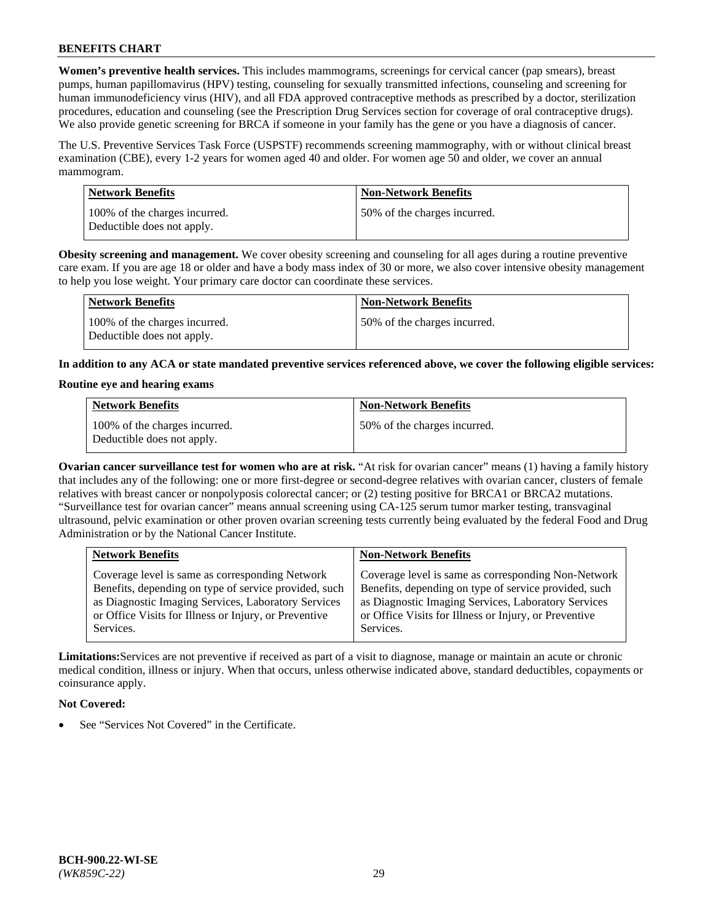**Women's preventive health services.** This includes mammograms, screenings for cervical cancer (pap smears), breast pumps, human papillomavirus (HPV) testing, counseling for sexually transmitted infections, counseling and screening for human immunodeficiency virus (HIV), and all FDA approved contraceptive methods as prescribed by a doctor, sterilization procedures, education and counseling (see the Prescription Drug Services section for coverage of oral contraceptive drugs). We also provide genetic screening for BRCA if someone in your family has the gene or you have a diagnosis of cancer.

The U.S. Preventive Services Task Force (USPSTF) recommends screening mammography, with or without clinical breast examination (CBE), every 1-2 years for women aged 40 and older. For women age 50 and older, we cover an annual mammogram.

| <b>Network Benefits</b>                                     | <b>Non-Network Benefits</b>  |
|-------------------------------------------------------------|------------------------------|
| 100% of the charges incurred.<br>Deductible does not apply. | 50% of the charges incurred. |

**Obesity screening and management.** We cover obesity screening and counseling for all ages during a routine preventive care exam. If you are age 18 or older and have a body mass index of 30 or more, we also cover intensive obesity management to help you lose weight. Your primary care doctor can coordinate these services.

| Network Benefits                                            | <b>Non-Network Benefits</b>  |
|-------------------------------------------------------------|------------------------------|
| 100% of the charges incurred.<br>Deductible does not apply. | 50% of the charges incurred. |

**In addition to any ACA or state mandated preventive services referenced above, we cover the following eligible services:**

#### **Routine eye and hearing exams**

| <b>Network Benefits</b>                                     | <b>Non-Network Benefits</b>  |
|-------------------------------------------------------------|------------------------------|
| 100% of the charges incurred.<br>Deductible does not apply. | 50% of the charges incurred. |

**Ovarian cancer surveillance test for women who are at risk.** "At risk for ovarian cancer" means (1) having a family history that includes any of the following: one or more first-degree or second-degree relatives with ovarian cancer, clusters of female relatives with breast cancer or nonpolyposis colorectal cancer; or (2) testing positive for BRCA1 or BRCA2 mutations. "Surveillance test for ovarian cancer" means annual screening using CA-125 serum tumor marker testing, transvaginal ultrasound, pelvic examination or other proven ovarian screening tests currently being evaluated by the federal Food and Drug Administration or by the National Cancer Institute.

| <b>Network Benefits</b>                               | <b>Non-Network Benefits</b>                           |
|-------------------------------------------------------|-------------------------------------------------------|
| Coverage level is same as corresponding Network       | Coverage level is same as corresponding Non-Network   |
| Benefits, depending on type of service provided, such | Benefits, depending on type of service provided, such |
| as Diagnostic Imaging Services, Laboratory Services   | as Diagnostic Imaging Services, Laboratory Services   |
| or Office Visits for Illness or Injury, or Preventive | or Office Visits for Illness or Injury, or Preventive |
| Services.                                             | Services.                                             |

**Limitations:**Services are not preventive if received as part of a visit to diagnose, manage or maintain an acute or chronic medical condition, illness or injury. When that occurs, unless otherwise indicated above, standard deductibles, copayments or coinsurance apply.

## **Not Covered:**

See "Services Not Covered" in the Certificate.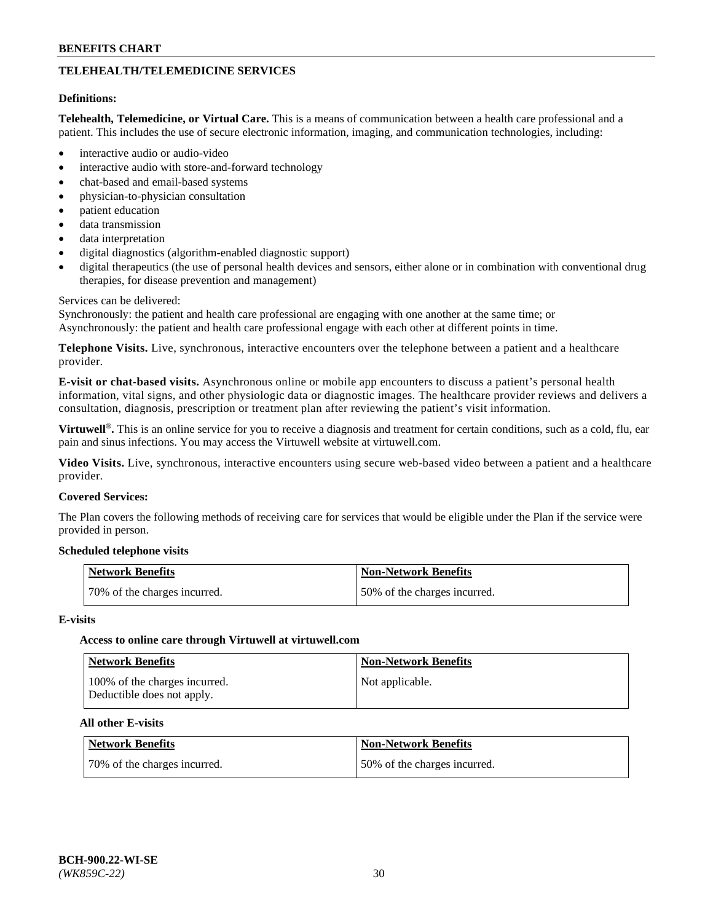## **TELEHEALTH/TELEMEDICINE SERVICES**

#### **Definitions:**

**Telehealth, Telemedicine, or Virtual Care.** This is a means of communication between a health care professional and a patient. This includes the use of secure electronic information, imaging, and communication technologies, including:

- interactive audio or audio-video
- interactive audio with store-and-forward technology
- chat-based and email-based systems
- physician-to-physician consultation
- patient education
- data transmission
- data interpretation
- digital diagnostics (algorithm-enabled diagnostic support)
- digital therapeutics (the use of personal health devices and sensors, either alone or in combination with conventional drug therapies, for disease prevention and management)

#### Services can be delivered:

Synchronously: the patient and health care professional are engaging with one another at the same time; or Asynchronously: the patient and health care professional engage with each other at different points in time.

**Telephone Visits.** Live, synchronous, interactive encounters over the telephone between a patient and a healthcare provider.

**E-visit or chat-based visits.** Asynchronous online or mobile app encounters to discuss a patient's personal health information, vital signs, and other physiologic data or diagnostic images. The healthcare provider reviews and delivers a consultation, diagnosis, prescription or treatment plan after reviewing the patient's visit information.

**Virtuwell®.** This is an online service for you to receive a diagnosis and treatment for certain conditions, such as a cold, flu, ear pain and sinus infections. You may access the Virtuwell website at [virtuwell.com.](https://www.virtuwell.com/)

**Video Visits.** Live, synchronous, interactive encounters using secure web-based video between a patient and a healthcare provider.

#### **Covered Services:**

The Plan covers the following methods of receiving care for services that would be eligible under the Plan if the service were provided in person.

#### **Scheduled telephone visits**

| Network Benefits             | Non-Network Benefits         |
|------------------------------|------------------------------|
| 70% of the charges incurred. | 50% of the charges incurred. |

#### **E-visits**

## **Access to online care through Virtuwell at [virtuwell.com](https://www.virtuwell.com/)**

| <b>Network Benefits</b>                                     | <b>Non-Network Benefits</b> |
|-------------------------------------------------------------|-----------------------------|
| 100% of the charges incurred.<br>Deductible does not apply. | Not applicable.             |

## **All other E-visits**

| Network Benefits             | Non-Network Benefits         |
|------------------------------|------------------------------|
| 70% of the charges incurred. | 50% of the charges incurred. |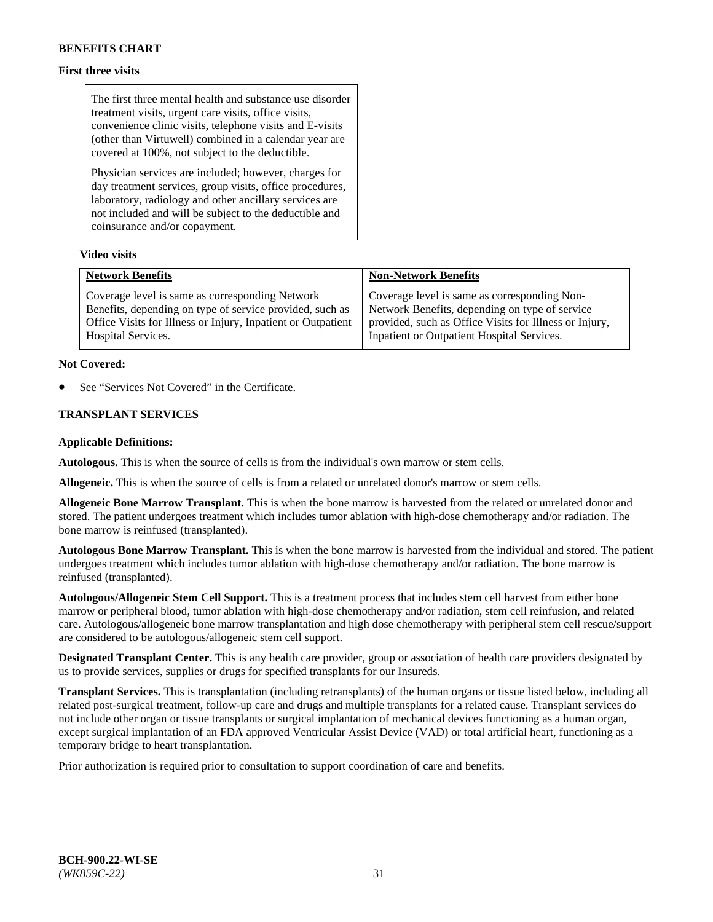## **First three visits**

The first three mental health and substance use disorder treatment visits, urgent care visits, office visits, convenience clinic visits, telephone visits and E-visits (other than Virtuwell) combined in a calendar year are covered at 100%, not subject to the deductible.

Physician services are included; however, charges for day treatment services, group visits, office procedures, laboratory, radiology and other ancillary services are not included and will be subject to the deductible and coinsurance and/or copayment.

## **Video visits**

| <b>Network Benefits</b>                                      | <b>Non-Network Benefits</b>                            |
|--------------------------------------------------------------|--------------------------------------------------------|
| Coverage level is same as corresponding Network              | Coverage level is same as corresponding Non-           |
| Benefits, depending on type of service provided, such as     | Network Benefits, depending on type of service         |
| Office Visits for Illness or Injury, Inpatient or Outpatient | provided, such as Office Visits for Illness or Injury, |
| <b>Hospital Services.</b>                                    | Inpatient or Outpatient Hospital Services.             |

#### **Not Covered:**

See "Services Not Covered" in the Certificate.

## **TRANSPLANT SERVICES**

#### **Applicable Definitions:**

**Autologous.** This is when the source of cells is from the individual's own marrow or stem cells.

**Allogeneic.** This is when the source of cells is from a related or unrelated donor's marrow or stem cells.

**Allogeneic Bone Marrow Transplant.** This is when the bone marrow is harvested from the related or unrelated donor and stored. The patient undergoes treatment which includes tumor ablation with high-dose chemotherapy and/or radiation. The bone marrow is reinfused (transplanted).

**Autologous Bone Marrow Transplant.** This is when the bone marrow is harvested from the individual and stored. The patient undergoes treatment which includes tumor ablation with high-dose chemotherapy and/or radiation. The bone marrow is reinfused (transplanted).

**Autologous/Allogeneic Stem Cell Support.** This is a treatment process that includes stem cell harvest from either bone marrow or peripheral blood, tumor ablation with high-dose chemotherapy and/or radiation, stem cell reinfusion, and related care. Autologous/allogeneic bone marrow transplantation and high dose chemotherapy with peripheral stem cell rescue/support are considered to be autologous/allogeneic stem cell support.

**Designated Transplant Center.** This is any health care provider, group or association of health care providers designated by us to provide services, supplies or drugs for specified transplants for our Insureds.

**Transplant Services.** This is transplantation (including retransplants) of the human organs or tissue listed below, including all related post-surgical treatment, follow-up care and drugs and multiple transplants for a related cause. Transplant services do not include other organ or tissue transplants or surgical implantation of mechanical devices functioning as a human organ, except surgical implantation of an FDA approved Ventricular Assist Device (VAD) or total artificial heart, functioning as a temporary bridge to heart transplantation.

Prior authorization is required prior to consultation to support coordination of care and benefits.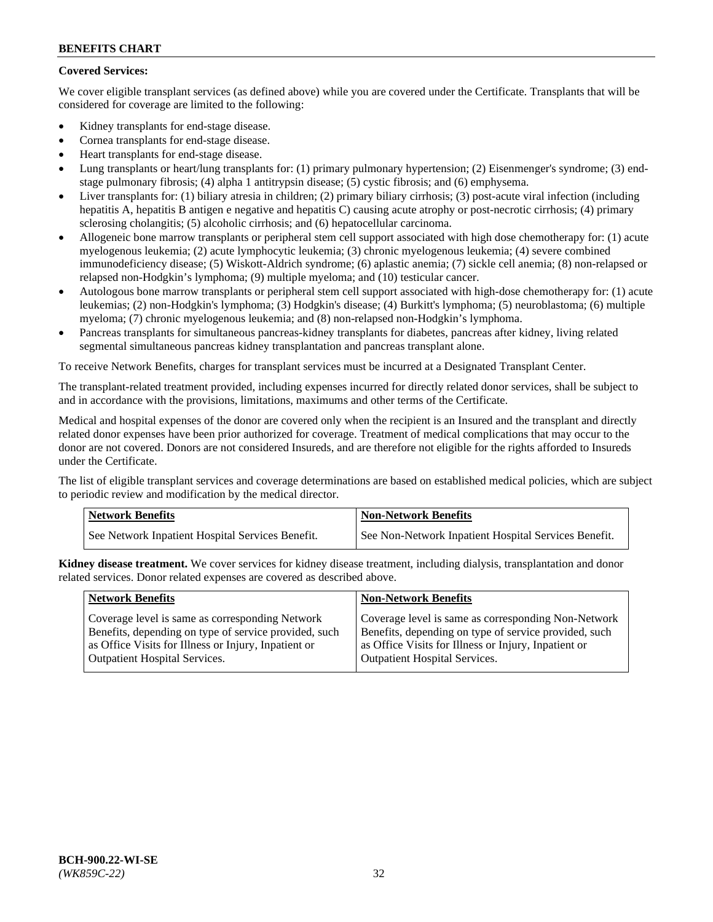## **Covered Services:**

We cover eligible transplant services (as defined above) while you are covered under the Certificate. Transplants that will be considered for coverage are limited to the following:

- Kidney transplants for end-stage disease.
- Cornea transplants for end-stage disease.
- Heart transplants for end-stage disease.
- Lung transplants or heart/lung transplants for: (1) primary pulmonary hypertension; (2) Eisenmenger's syndrome; (3) endstage pulmonary fibrosis; (4) alpha 1 antitrypsin disease; (5) cystic fibrosis; and (6) emphysema.
- Liver transplants for: (1) biliary atresia in children; (2) primary biliary cirrhosis; (3) post-acute viral infection (including hepatitis A, hepatitis B antigen e negative and hepatitis C) causing acute atrophy or post-necrotic cirrhosis; (4) primary sclerosing cholangitis; (5) alcoholic cirrhosis; and (6) hepatocellular carcinoma.
- Allogeneic bone marrow transplants or peripheral stem cell support associated with high dose chemotherapy for: (1) acute myelogenous leukemia; (2) acute lymphocytic leukemia; (3) chronic myelogenous leukemia; (4) severe combined immunodeficiency disease; (5) Wiskott-Aldrich syndrome; (6) aplastic anemia; (7) sickle cell anemia; (8) non-relapsed or relapsed non-Hodgkin's lymphoma; (9) multiple myeloma; and (10) testicular cancer.
- Autologous bone marrow transplants or peripheral stem cell support associated with high-dose chemotherapy for: (1) acute leukemias; (2) non-Hodgkin's lymphoma; (3) Hodgkin's disease; (4) Burkitt's lymphoma; (5) neuroblastoma; (6) multiple myeloma; (7) chronic myelogenous leukemia; and (8) non-relapsed non-Hodgkin's lymphoma.
- Pancreas transplants for simultaneous pancreas-kidney transplants for diabetes, pancreas after kidney, living related segmental simultaneous pancreas kidney transplantation and pancreas transplant alone.

To receive Network Benefits, charges for transplant services must be incurred at a Designated Transplant Center.

The transplant-related treatment provided, including expenses incurred for directly related donor services, shall be subject to and in accordance with the provisions, limitations, maximums and other terms of the Certificate.

Medical and hospital expenses of the donor are covered only when the recipient is an Insured and the transplant and directly related donor expenses have been prior authorized for coverage. Treatment of medical complications that may occur to the donor are not covered. Donors are not considered Insureds, and are therefore not eligible for the rights afforded to Insureds under the Certificate.

The list of eligible transplant services and coverage determinations are based on established medical policies, which are subject to periodic review and modification by the medical director.

| <b>Network Benefits</b>                          | <b>Non-Network Benefits</b>                          |
|--------------------------------------------------|------------------------------------------------------|
| See Network Inpatient Hospital Services Benefit. | See Non-Network Inpatient Hospital Services Benefit. |

**Kidney disease treatment.** We cover services for kidney disease treatment, including dialysis, transplantation and donor related services. Donor related expenses are covered as described above.

| <b>Network Benefits</b>                               | <b>Non-Network Benefits</b>                           |
|-------------------------------------------------------|-------------------------------------------------------|
| Coverage level is same as corresponding Network       | Coverage level is same as corresponding Non-Network   |
| Benefits, depending on type of service provided, such | Benefits, depending on type of service provided, such |
| as Office Visits for Illness or Injury, Inpatient or  | as Office Visits for Illness or Injury, Inpatient or  |
| <b>Outpatient Hospital Services.</b>                  | <b>Outpatient Hospital Services.</b>                  |